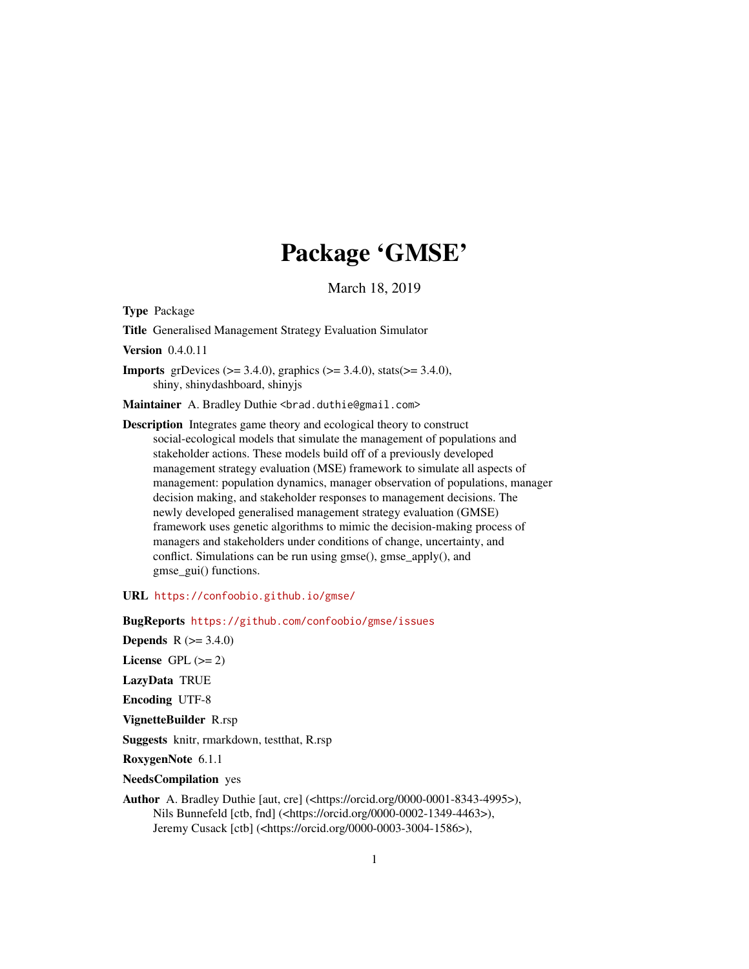# Package 'GMSE'

March 18, 2019

Type Package

Title Generalised Management Strategy Evaluation Simulator

Version 0.4.0.11

**Imports** grDevices ( $> = 3.4.0$ ), graphics ( $> = 3.4.0$ ), stats( $> = 3.4.0$ ), shiny, shinydashboard, shinyjs

Maintainer A. Bradley Duthie <br />brad.duthie@gmail.com>

Description Integrates game theory and ecological theory to construct social-ecological models that simulate the management of populations and stakeholder actions. These models build off of a previously developed management strategy evaluation (MSE) framework to simulate all aspects of management: population dynamics, manager observation of populations, manager decision making, and stakeholder responses to management decisions. The newly developed generalised management strategy evaluation (GMSE) framework uses genetic algorithms to mimic the decision-making process of managers and stakeholders under conditions of change, uncertainty, and conflict. Simulations can be run using gmse(), gmse\_apply(), and gmse\_gui() functions.

URL <https://confoobio.github.io/gmse/>

BugReports <https://github.com/confoobio/gmse/issues>

**Depends** R  $(>= 3.4.0)$ 

License GPL  $(>= 2)$ 

LazyData TRUE

Encoding UTF-8

VignetteBuilder R.rsp

Suggests knitr, rmarkdown, testthat, R.rsp

RoxygenNote 6.1.1

NeedsCompilation yes

Author A. Bradley Duthie [aut, cre] (<https://orcid.org/0000-0001-8343-4995>), Nils Bunnefeld [ctb, fnd] (<https://orcid.org/0000-0002-1349-4463>), Jeremy Cusack [ctb] (<https://orcid.org/0000-0003-3004-1586>),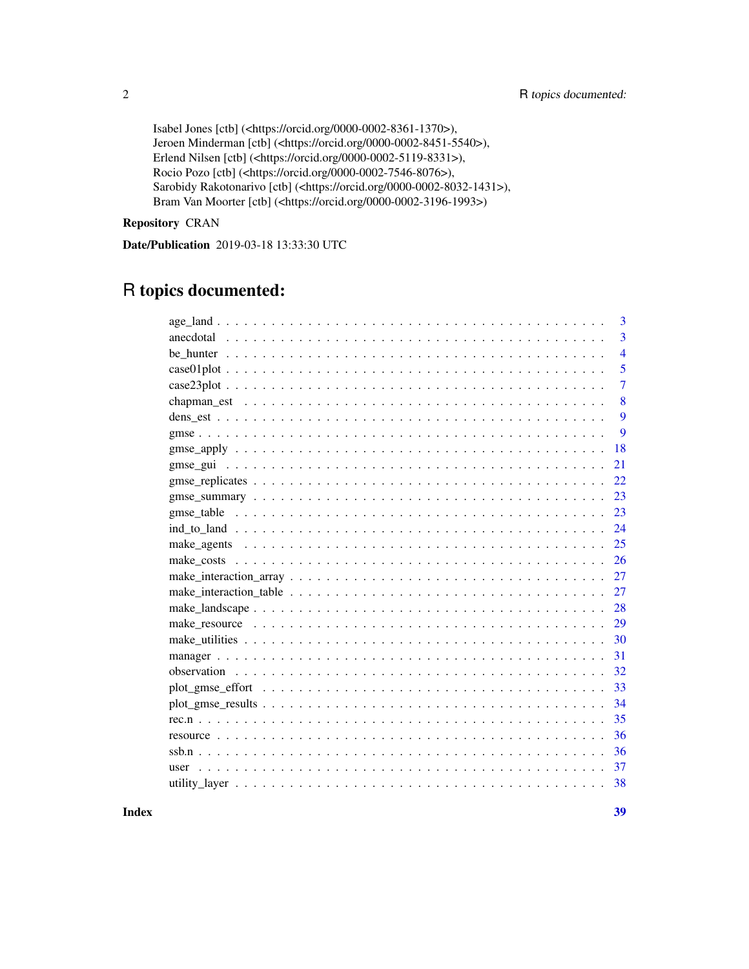```
Isabel Jones [ctb] (<https://orcid.org/0000-0002-8361-1370>),
Jeroen Minderman [ctb] (<https://orcid.org/0000-0002-8451-5540>),
Erlend Nilsen [ctb] (<https://orcid.org/0000-0002-5119-8331>),
Rocio Pozo [ctb] (<https://orcid.org/0000-0002-7546-8076>),
Sarobidy Rakotonarivo [ctb] (<https://orcid.org/0000-0002-8032-1431>),
Bram Van Moorter [ctb] (<https://orcid.org/0000-0002-3196-1993>)
```
Repository CRAN

Date/Publication 2019-03-18 13:33:30 UTC

# R topics documented:

| 3              |
|----------------|
| 3              |
| $\overline{4}$ |
| 5              |
| $\overline{7}$ |
| 8              |
| 9              |
| 9              |
| 18             |
| 21             |
| 22             |
| 23             |
| 23             |
| 24             |
| 25             |
| 26             |
| 27             |
| 27             |
| 28             |
| 29             |
| 30             |
| 31             |
| 32             |
| 33             |
| 34             |
| 35             |
| 36             |
| 36             |
| 37             |
| 38             |
|                |

**Index** [39](#page-38-0)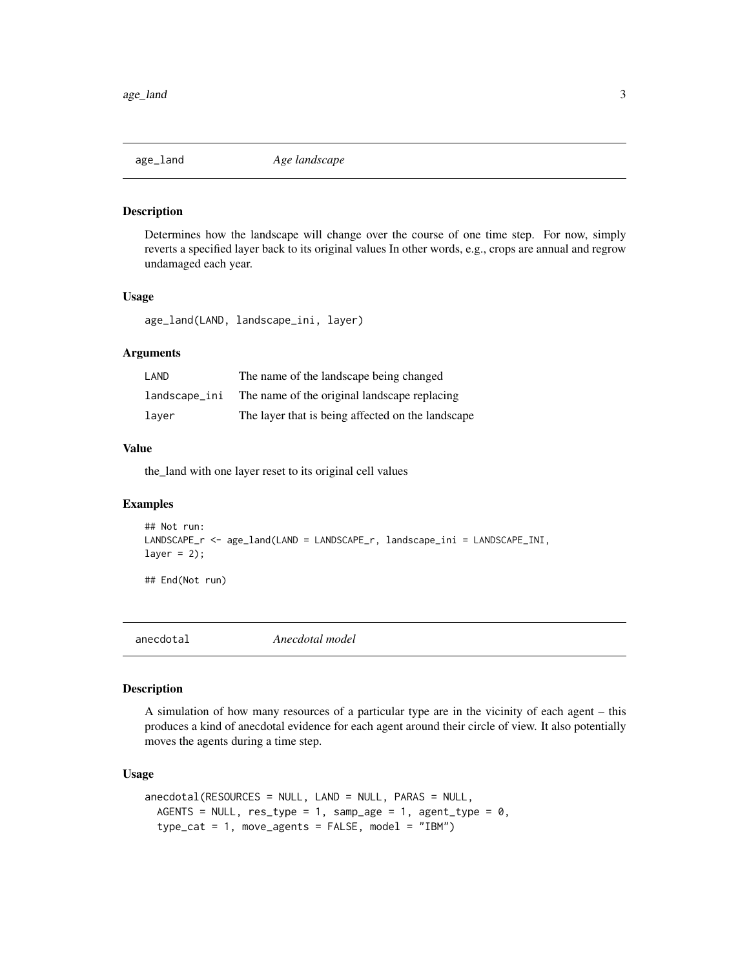<span id="page-2-0"></span>

Determines how the landscape will change over the course of one time step. For now, simply reverts a specified layer back to its original values In other words, e.g., crops are annual and regrow undamaged each year.

#### Usage

age\_land(LAND, landscape\_ini, layer)

# Arguments

| LAND          | The name of the landscape being changed           |
|---------------|---------------------------------------------------|
| landscape_ini | The name of the original landscape replacing      |
| laver         | The layer that is being affected on the landscape |

#### Value

the\_land with one layer reset to its original cell values

# Examples

```
## Not run:
LANDSCAPE_r <- age_land(LAND = LANDSCAPE_r, landscape_ini = LANDSCAPE_INI,
layer = 2);
```
## End(Not run)

anecdotal *Anecdotal model*

#### Description

A simulation of how many resources of a particular type are in the vicinity of each agent – this produces a kind of anecdotal evidence for each agent around their circle of view. It also potentially moves the agents during a time step.

#### Usage

```
anecdotal(RESOURCES = NULL, LAND = NULL, PARAS = NULL,AGENTS = NULL, res\_type = 1, sample = 1, agent\_type = 0,
 type\_cat = 1, move_agents = FALSE, model = "IBM")
```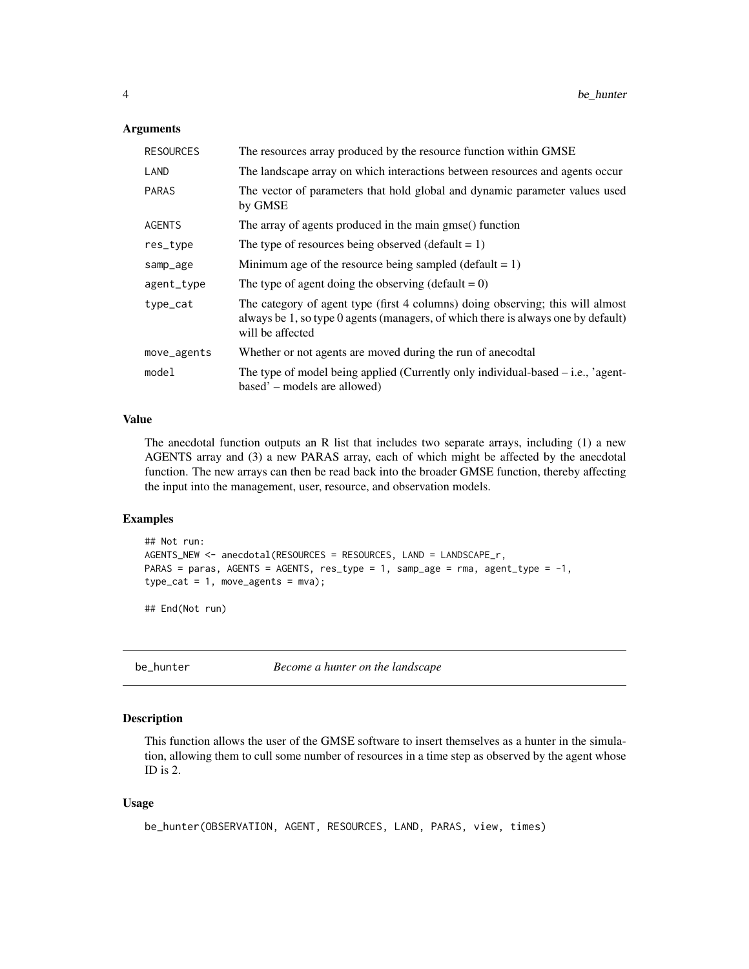#### <span id="page-3-0"></span>**Arguments**

| <b>RESOURCES</b> | The resources array produced by the resource function within GMSE                                                                                                                       |
|------------------|-----------------------------------------------------------------------------------------------------------------------------------------------------------------------------------------|
| LAND             | The landscape array on which interactions between resources and agents occur                                                                                                            |
| <b>PARAS</b>     | The vector of parameters that hold global and dynamic parameter values used<br>by GMSE                                                                                                  |
| <b>AGENTS</b>    | The array of agents produced in the main gmse() function                                                                                                                                |
| res_type         | The type of resources being observed (default = $1$ )                                                                                                                                   |
| samp_age         | Minimum age of the resource being sampled (default $= 1$ )                                                                                                                              |
| agent_type       | The type of agent doing the observing (default $= 0$ )                                                                                                                                  |
| type_cat         | The category of agent type (first 4 columns) doing observing; this will almost<br>always be 1, so type 0 agents (managers, of which there is always one by default)<br>will be affected |
| move_agents      | Whether or not agents are moved during the run of anecodtal                                                                                                                             |
| model            | The type of model being applied (Currently only individual-based $-$ i.e., 'agent-<br>based' – models are allowed)                                                                      |

#### Value

The anecdotal function outputs an R list that includes two separate arrays, including (1) a new AGENTS array and (3) a new PARAS array, each of which might be affected by the anecdotal function. The new arrays can then be read back into the broader GMSE function, thereby affecting the input into the management, user, resource, and observation models.

#### Examples

```
## Not run:
AGENTS_NEW <- anecdotal(RESOURCES = RESOURCES, LAND = LANDSCAPE_r,
PARAS = paras, AGENTS = AGENTS, res_type = 1, samp_age = rma, agent_type = -1,
type\_cat = 1, move_agents = mva);
```
## End(Not run)

be\_hunter *Become a hunter on the landscape*

#### Description

This function allows the user of the GMSE software to insert themselves as a hunter in the simulation, allowing them to cull some number of resources in a time step as observed by the agent whose ID is 2.

#### Usage

```
be_hunter(OBSERVATION, AGENT, RESOURCES, LAND, PARAS, view, times)
```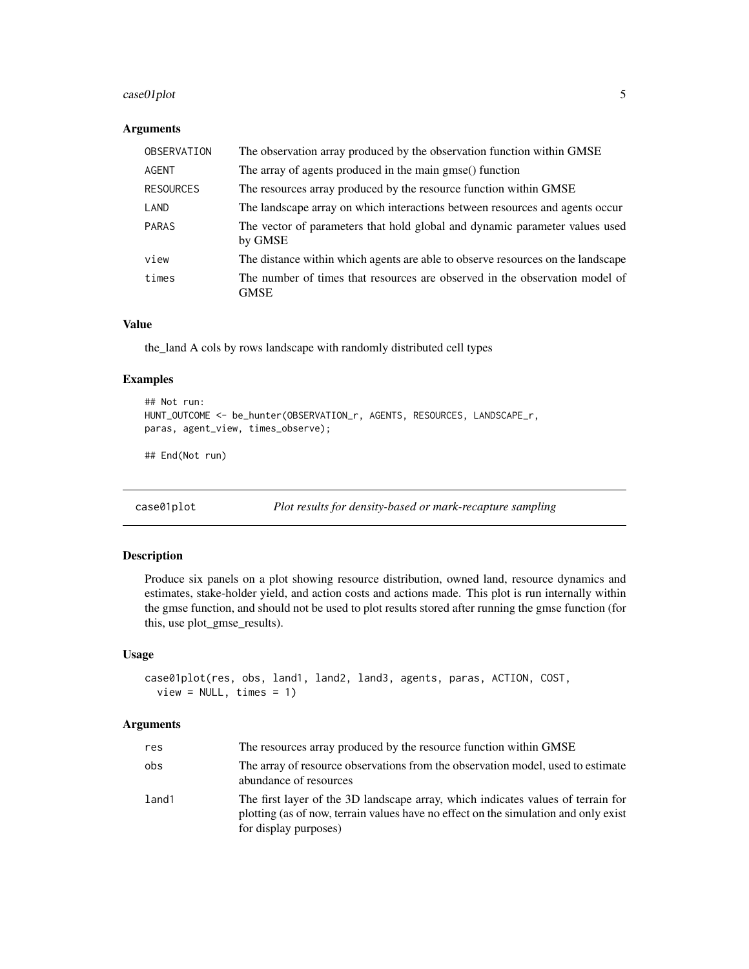# <span id="page-4-0"></span>case01plot 5

# Arguments

| OBSERVATION      | The observation array produced by the observation function within GMSE                 |
|------------------|----------------------------------------------------------------------------------------|
| AGENT            | The array of agents produced in the main gmse() function                               |
| <b>RESOURCES</b> | The resources array produced by the resource function within GMSE                      |
| LAND             | The landscape array on which interactions between resources and agents occur           |
| <b>PARAS</b>     | The vector of parameters that hold global and dynamic parameter values used<br>by GMSE |
| view             | The distance within which agents are able to observe resources on the landscape        |
| times            | The number of times that resources are observed in the observation model of<br>GMSE    |

# Value

the\_land A cols by rows landscape with randomly distributed cell types

#### Examples

```
## Not run:
HUNT_OUTCOME <- be_hunter(OBSERVATION_r, AGENTS, RESOURCES, LANDSCAPE_r,
paras, agent_view, times_observe);
```
## End(Not run)

case01plot *Plot results for density-based or mark-recapture sampling*

#### Description

Produce six panels on a plot showing resource distribution, owned land, resource dynamics and estimates, stake-holder yield, and action costs and actions made. This plot is run internally within the gmse function, and should not be used to plot results stored after running the gmse function (for this, use plot\_gmse\_results).

#### Usage

```
case01plot(res, obs, land1, land2, land3, agents, paras, ACTION, COST,
  view = NULL, times = 1)
```
#### Arguments

| res   | The resources array produced by the resource function within GMSE                                                                                                                                |
|-------|--------------------------------------------------------------------------------------------------------------------------------------------------------------------------------------------------|
| obs   | The array of resource observations from the observation model, used to estimate<br>abundance of resources                                                                                        |
| land1 | The first layer of the 3D landscape array, which indicates values of terrain for<br>plotting (as of now, terrain values have no effect on the simulation and only exist<br>for display purposes) |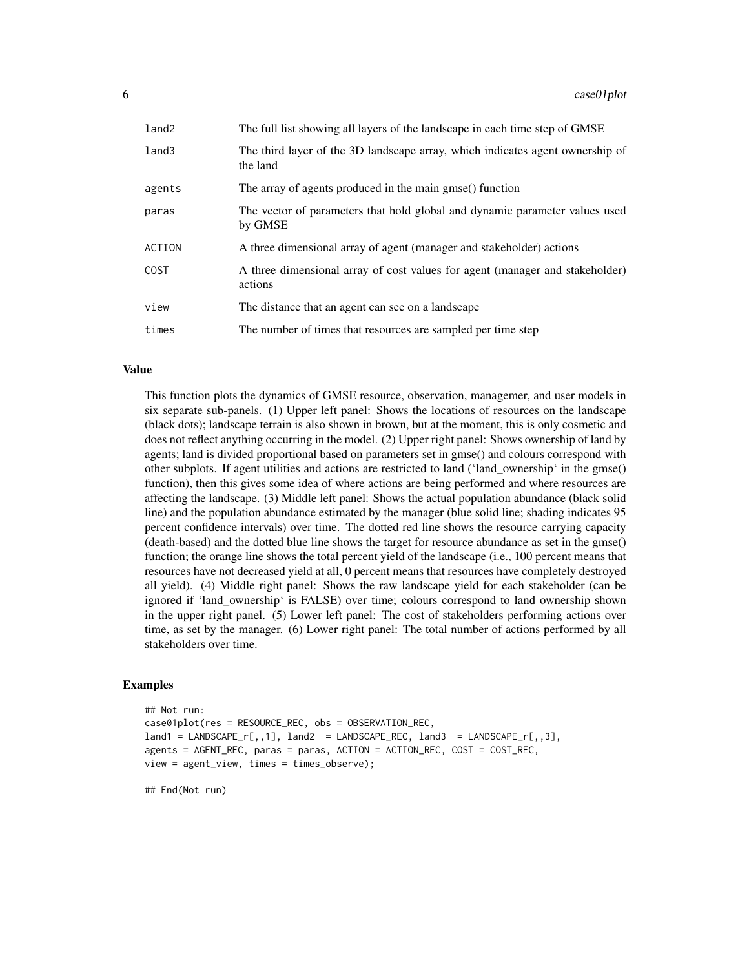| land2         | The full list showing all layers of the landscape in each time step of GMSE               |
|---------------|-------------------------------------------------------------------------------------------|
| land3         | The third layer of the 3D landscape array, which indicates agent ownership of<br>the land |
| agents        | The array of agents produced in the main gmse() function                                  |
| paras         | The vector of parameters that hold global and dynamic parameter values used<br>by GMSE    |
| <b>ACTION</b> | A three dimensional array of agent (manager and stakeholder) actions                      |
| <b>COST</b>   | A three dimensional array of cost values for agent (manager and stakeholder)<br>actions   |
| view          | The distance that an agent can see on a landscape                                         |
| times         | The number of times that resources are sampled per time step                              |

# Value

This function plots the dynamics of GMSE resource, observation, managemer, and user models in six separate sub-panels. (1) Upper left panel: Shows the locations of resources on the landscape (black dots); landscape terrain is also shown in brown, but at the moment, this is only cosmetic and does not reflect anything occurring in the model. (2) Upper right panel: Shows ownership of land by agents; land is divided proportional based on parameters set in gmse() and colours correspond with other subplots. If agent utilities and actions are restricted to land ('land\_ownership' in the gmse() function), then this gives some idea of where actions are being performed and where resources are affecting the landscape. (3) Middle left panel: Shows the actual population abundance (black solid line) and the population abundance estimated by the manager (blue solid line; shading indicates 95 percent confidence intervals) over time. The dotted red line shows the resource carrying capacity (death-based) and the dotted blue line shows the target for resource abundance as set in the gmse() function; the orange line shows the total percent yield of the landscape (i.e., 100 percent means that resources have not decreased yield at all, 0 percent means that resources have completely destroyed all yield). (4) Middle right panel: Shows the raw landscape yield for each stakeholder (can be ignored if 'land\_ownership' is FALSE) over time; colours correspond to land ownership shown in the upper right panel. (5) Lower left panel: The cost of stakeholders performing actions over time, as set by the manager. (6) Lower right panel: The total number of actions performed by all stakeholders over time.

# Examples

```
## Not run:
case01plot(res = RESOURCE_REC, obs = OBSERVATION_REC,
land1 = LANDSCAPE_r[,, 1], land2 = LANDSCAPE_REC, land3 = LANDSCAPE_r[,, 3],agents = AGENT_REC, paras = paras, ACTION = ACTION_REC, COST = COST_REC,
view = agent_view, times = times_observe);
```
## End(Not run)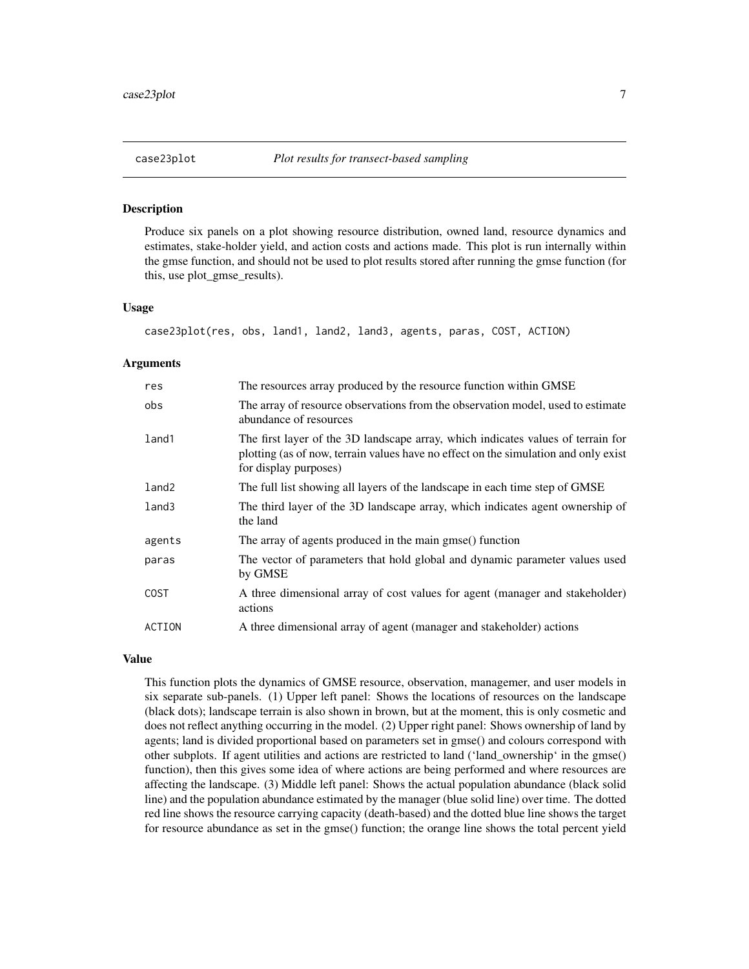<span id="page-6-0"></span>

Produce six panels on a plot showing resource distribution, owned land, resource dynamics and estimates, stake-holder yield, and action costs and actions made. This plot is run internally within the gmse function, and should not be used to plot results stored after running the gmse function (for this, use plot\_gmse\_results).

# Usage

case23plot(res, obs, land1, land2, land3, agents, paras, COST, ACTION)

#### Arguments

| res               | The resources array produced by the resource function within GMSE                                                                                                                                |
|-------------------|--------------------------------------------------------------------------------------------------------------------------------------------------------------------------------------------------|
| obs               | The array of resource observations from the observation model, used to estimate<br>abundance of resources                                                                                        |
| land1             | The first layer of the 3D landscape array, which indicates values of terrain for<br>plotting (as of now, terrain values have no effect on the simulation and only exist<br>for display purposes) |
| land <sub>2</sub> | The full list showing all layers of the landscape in each time step of GMSE                                                                                                                      |
| land3             | The third layer of the 3D landscape array, which indicates agent ownership of<br>the land                                                                                                        |
| agents            | The array of agents produced in the main gmse() function                                                                                                                                         |
| paras             | The vector of parameters that hold global and dynamic parameter values used<br>by GMSE                                                                                                           |
| <b>COST</b>       | A three dimensional array of cost values for agent (manager and stakeholder)<br>actions                                                                                                          |
| ACTION            | A three dimensional array of agent (manager and stakeholder) actions                                                                                                                             |

#### Value

This function plots the dynamics of GMSE resource, observation, managemer, and user models in six separate sub-panels. (1) Upper left panel: Shows the locations of resources on the landscape (black dots); landscape terrain is also shown in brown, but at the moment, this is only cosmetic and does not reflect anything occurring in the model. (2) Upper right panel: Shows ownership of land by agents; land is divided proportional based on parameters set in gmse() and colours correspond with other subplots. If agent utilities and actions are restricted to land ('land\_ownership' in the gmse() function), then this gives some idea of where actions are being performed and where resources are affecting the landscape. (3) Middle left panel: Shows the actual population abundance (black solid line) and the population abundance estimated by the manager (blue solid line) over time. The dotted red line shows the resource carrying capacity (death-based) and the dotted blue line shows the target for resource abundance as set in the gmse() function; the orange line shows the total percent yield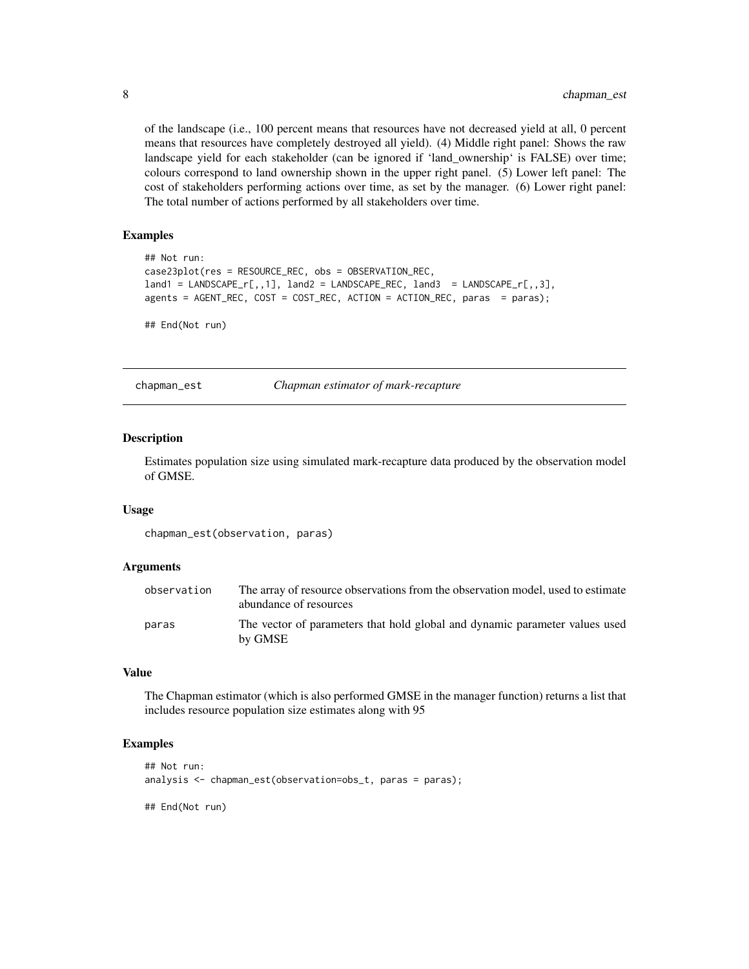of the landscape (i.e., 100 percent means that resources have not decreased yield at all, 0 percent means that resources have completely destroyed all yield). (4) Middle right panel: Shows the raw landscape yield for each stakeholder (can be ignored if 'land ownership' is FALSE) over time; colours correspond to land ownership shown in the upper right panel. (5) Lower left panel: The cost of stakeholders performing actions over time, as set by the manager. (6) Lower right panel: The total number of actions performed by all stakeholders over time.

#### Examples

```
## Not run:
case23plot(res = RESOURCE_REC, obs = OBSERVATION_REC,
land1 = LANDSCAPE_r[,, 1], land2 = LANDSCAPE_REC, land3 = LANDSCAPE_r[,, 3],
agents = AGENT_REC, COST = COST_REC, ACTION = ACTION_REC, paras = paras);
## End(Not run)
```
chapman\_est *Chapman estimator of mark-recapture*

#### **Description**

Estimates population size using simulated mark-recapture data produced by the observation model of GMSE.

#### Usage

chapman\_est(observation, paras)

#### Arguments

| observation | The array of resource observations from the observation model, used to estimate<br>abundance of resources |
|-------------|-----------------------------------------------------------------------------------------------------------|
| paras       | The vector of parameters that hold global and dynamic parameter values used<br>by GMSE                    |

#### Value

The Chapman estimator (which is also performed GMSE in the manager function) returns a list that includes resource population size estimates along with 95

#### Examples

```
## Not run:
analysis <- chapman_est(observation=obs_t, paras = paras);
```
## End(Not run)

<span id="page-7-0"></span>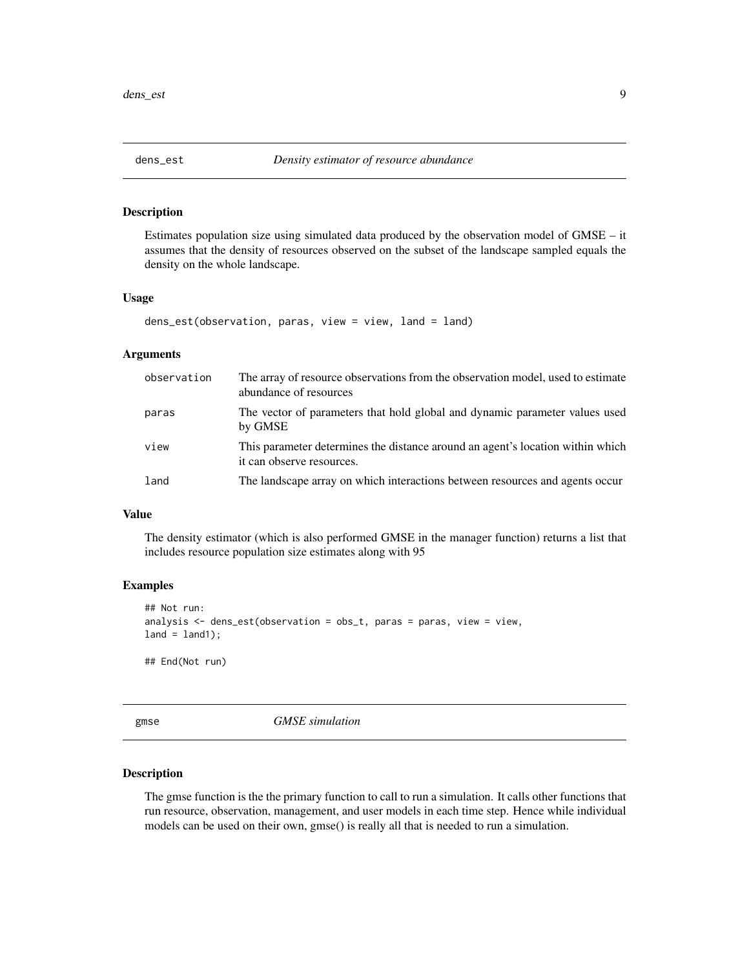<span id="page-8-0"></span>

Estimates population size using simulated data produced by the observation model of GMSE – it assumes that the density of resources observed on the subset of the landscape sampled equals the density on the whole landscape.

### Usage

```
dens_est(observation, paras, view = view, land = land)
```
#### Arguments

| observation | The array of resource observations from the observation model, used to estimate<br>abundance of resources   |
|-------------|-------------------------------------------------------------------------------------------------------------|
| paras       | The vector of parameters that hold global and dynamic parameter values used<br>by GMSE                      |
| view        | This parameter determines the distance around an agent's location within which<br>it can observe resources. |
| land        | The landscape array on which interactions between resources and agents occur                                |

# Value

The density estimator (which is also performed GMSE in the manager function) returns a list that includes resource population size estimates along with 95

# Examples

```
## Not run:
analysis \leq dens_est(observation = obs_t, paras = paras, view = view,
land = land1;
```
## End(Not run)

gmse *GMSE simulation*

# Description

The gmse function is the the primary function to call to run a simulation. It calls other functions that run resource, observation, management, and user models in each time step. Hence while individual models can be used on their own, gmse() is really all that is needed to run a simulation.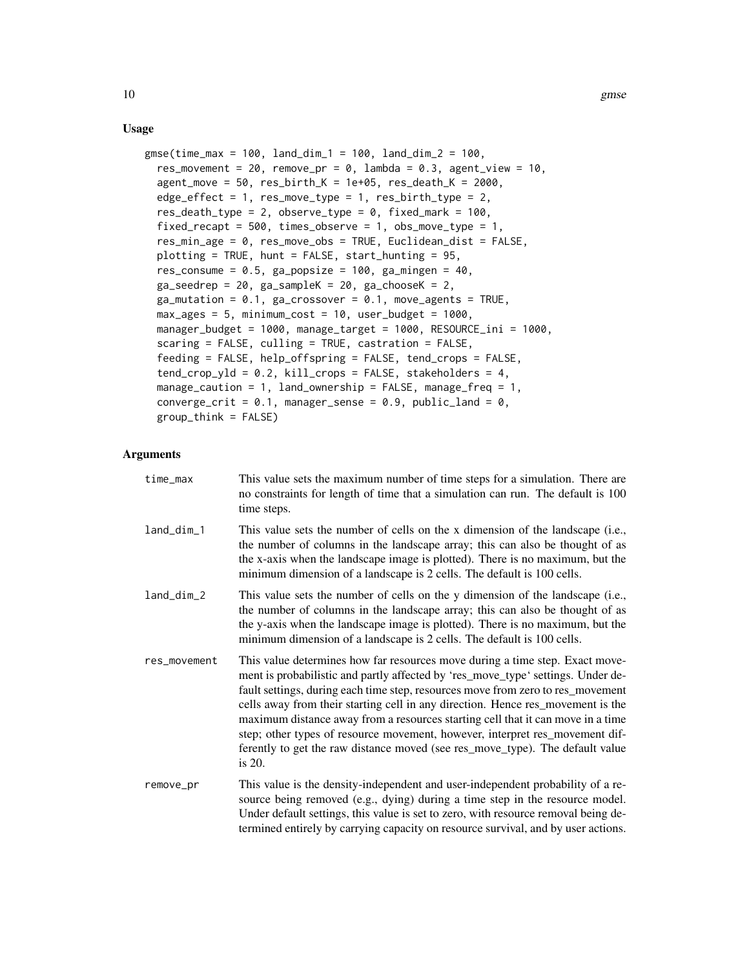#### Usage

```
gmse(time_max = 100, land_dim_1 = 100, land_dim_2 = 100,
  res_movement = 20, remove_pr = 0, lambda = 0.3, agent_view = 10,
  agent_move = 50, res\_birth_K = 1e+05, res\_death_K = 2000,
  edge_effect = 1, res_move_type = 1, res_birth_type = 2,
  res_death_type = 2, observe_type = 0, fixed\_mark = 100,
  fixed_recapt = 500, times_observe = 1, obs_move_type = 1,
  res_min_age = 0, res_move_obs = TRUE, Euclidean_dist = FALSE,
 plotting = TRUE, hunt = FALSE, start_hunting = 95,
  res_consume = 0.5, ga_popsize = 100, ga_mingen = 40,
 ga\_seedrep = 20, ga\_sampleK = 20, ga\_chooseK = 2,
 ga_mutation = 0.1, ga_crossover = 0.1, move_agents = TRUE,
 max\_ages = 5, minimum\_cost = 10, user\_budget = 1000,
 manager_budget = 1000, manage_target = 1000, RESOURCE_ini = 1000,
  scaring = FALSE, culling = TRUE, castration = FALSE,
  feeding = FALSE, help_offspring = FALSE, tend_crops = FALSE,
  tend_crop_yld = 0.2, kill_crops = FALSE, stakeholders = 4,
 manage_caution = 1, land_ownership = FALSE, manage_freq = 1,
  converge_crit = 0.1, manager_sense = 0.9, public_land = 0,
  group_think = FALSE)
```
#### Arguments

| time_max     | This value sets the maximum number of time steps for a simulation. There are<br>no constraints for length of time that a simulation can run. The default is 100<br>time steps.                                                                                                                                                                                                                                                                                                                                                                                                                       |
|--------------|------------------------------------------------------------------------------------------------------------------------------------------------------------------------------------------------------------------------------------------------------------------------------------------------------------------------------------------------------------------------------------------------------------------------------------------------------------------------------------------------------------------------------------------------------------------------------------------------------|
| land_dim_1   | This value sets the number of cells on the x dimension of the landscape (i.e.,<br>the number of columns in the landscape array; this can also be thought of as<br>the x-axis when the landscape image is plotted). There is no maximum, but the<br>minimum dimension of a landscape is 2 cells. The default is 100 cells.                                                                                                                                                                                                                                                                            |
| land_dim_2   | This value sets the number of cells on the y dimension of the landscape (i.e.,<br>the number of columns in the landscape array; this can also be thought of as<br>the y-axis when the landscape image is plotted). There is no maximum, but the<br>minimum dimension of a landscape is 2 cells. The default is 100 cells.                                                                                                                                                                                                                                                                            |
| res_movement | This value determines how far resources move during a time step. Exact move-<br>ment is probabilistic and partly affected by 'res_move_type' settings. Under de-<br>fault settings, during each time step, resources move from zero to res_movement<br>cells away from their starting cell in any direction. Hence res_movement is the<br>maximum distance away from a resources starting cell that it can move in a time<br>step; other types of resource movement, however, interpret res_movement dif-<br>ferently to get the raw distance moved (see res_move_type). The default value<br>is 20. |
| remove_pr    | This value is the density-independent and user-independent probability of a re-<br>source being removed (e.g., dying) during a time step in the resource model.<br>Under default settings, this value is set to zero, with resource removal being de-<br>termined entirely by carrying capacity on resource survival, and by user actions.                                                                                                                                                                                                                                                           |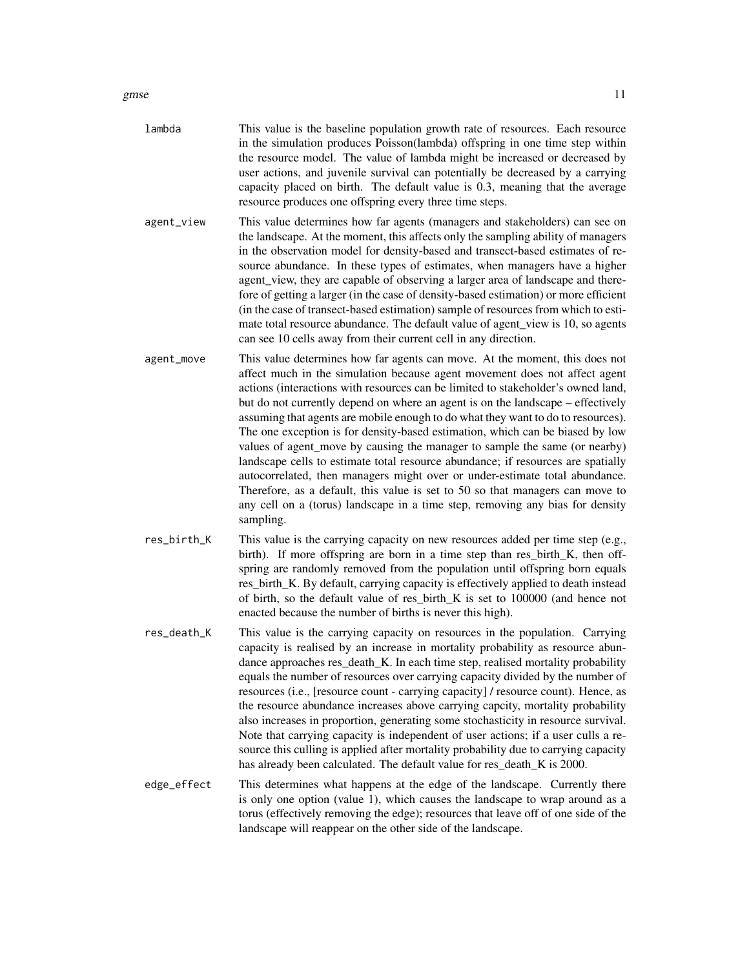gmse to the state of the state of the state of the state of the state of the state of the state of the state of the state of the state of the state of the state of the state of the state of the state of the state of the st

| lambda     | This value is the baseline population growth rate of resources. Each resource<br>in the simulation produces Poisson(lambda) offspring in one time step within<br>the resource model. The value of lambda might be increased or decreased by<br>user actions, and juvenile survival can potentially be decreased by a carrying<br>capacity placed on birth. The default value is 0.3, meaning that the average<br>resource produces one offspring every three time steps.                                                                                                                                                                                                                                                                                                                                                                                                                                                 |
|------------|--------------------------------------------------------------------------------------------------------------------------------------------------------------------------------------------------------------------------------------------------------------------------------------------------------------------------------------------------------------------------------------------------------------------------------------------------------------------------------------------------------------------------------------------------------------------------------------------------------------------------------------------------------------------------------------------------------------------------------------------------------------------------------------------------------------------------------------------------------------------------------------------------------------------------|
| agent_view | This value determines how far agents (managers and stakeholders) can see on<br>the landscape. At the moment, this affects only the sampling ability of managers<br>in the observation model for density-based and transect-based estimates of re-<br>source abundance. In these types of estimates, when managers have a higher<br>agent_view, they are capable of observing a larger area of landscape and there-<br>fore of getting a larger (in the case of density-based estimation) or more efficient<br>(in the case of transect-based estimation) sample of resources from which to esti-<br>mate total resource abundance. The default value of agent_view is 10, so agents<br>can see 10 cells away from their current cell in any direction.                                                                                                                                                                   |
| agent_move | This value determines how far agents can move. At the moment, this does not<br>affect much in the simulation because agent movement does not affect agent<br>actions (interactions with resources can be limited to stakeholder's owned land,<br>but do not currently depend on where an agent is on the landscape – effectively<br>assuming that agents are mobile enough to do what they want to do to resources).<br>The one exception is for density-based estimation, which can be biased by low<br>values of agent_move by causing the manager to sample the same (or nearby)<br>landscape cells to estimate total resource abundance; if resources are spatially<br>autocorrelated, then managers might over or under-estimate total abundance.<br>Therefore, as a default, this value is set to 50 so that managers can move to<br>any cell on a (torus) landscape in a time step, removing any bias for density |

res\_birth\_K This value is the carrying capacity on new resources added per time step (e.g., birth). If more offspring are born in a time step than res\_birth\_K, then offspring are randomly removed from the population until offspring born equals res\_birth\_K. By default, carrying capacity is effectively applied to death instead of birth, so the default value of res\_birth\_K is set to 100000 (and hence not enacted because the number of births is never this high).

sampling.

- res\_death\_K This value is the carrying capacity on resources in the population. Carrying capacity is realised by an increase in mortality probability as resource abundance approaches res\_death\_K. In each time step, realised mortality probability equals the number of resources over carrying capacity divided by the number of resources (i.e., [resource count - carrying capacity] / resource count). Hence, as the resource abundance increases above carrying capcity, mortality probability also increases in proportion, generating some stochasticity in resource survival. Note that carrying capacity is independent of user actions; if a user culls a resource this culling is applied after mortality probability due to carrying capacity has already been calculated. The default value for res\_death\_K is 2000.
- edge\_effect This determines what happens at the edge of the landscape. Currently there is only one option (value 1), which causes the landscape to wrap around as a torus (effectively removing the edge); resources that leave off of one side of the landscape will reappear on the other side of the landscape.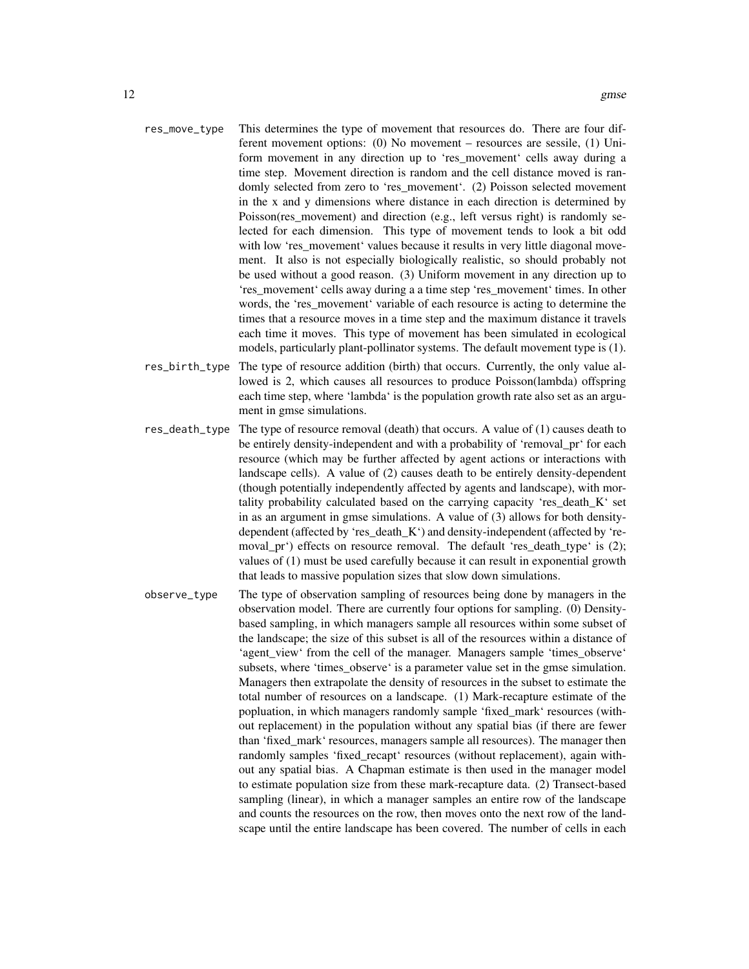- res\_move\_type This determines the type of movement that resources do. There are four different movement options: (0) No movement – resources are sessile, (1) Uniform movement in any direction up to 'res\_movement' cells away during a time step. Movement direction is random and the cell distance moved is randomly selected from zero to 'res\_movement'. (2) Poisson selected movement in the x and y dimensions where distance in each direction is determined by Poisson(res\_movement) and direction (e.g., left versus right) is randomly selected for each dimension. This type of movement tends to look a bit odd with low 'res movement' values because it results in very little diagonal movement. It also is not especially biologically realistic, so should probably not be used without a good reason. (3) Uniform movement in any direction up to 'res\_movement' cells away during a a time step 'res\_movement' times. In other words, the 'res\_movement' variable of each resource is acting to determine the times that a resource moves in a time step and the maximum distance it travels each time it moves. This type of movement has been simulated in ecological models, particularly plant-pollinator systems. The default movement type is (1).
- res\_birth\_type The type of resource addition (birth) that occurs. Currently, the only value allowed is 2, which causes all resources to produce Poisson(lambda) offspring each time step, where 'lambda' is the population growth rate also set as an argument in gmse simulations.
- res\_death\_type The type of resource removal (death) that occurs. A value of (1) causes death to be entirely density-independent and with a probability of 'removal\_pr' for each resource (which may be further affected by agent actions or interactions with landscape cells). A value of (2) causes death to be entirely density-dependent (though potentially independently affected by agents and landscape), with mortality probability calculated based on the carrying capacity 'res\_death\_K' set in as an argument in gmse simulations. A value of (3) allows for both densitydependent (affected by 'res\_death\_K') and density-independent (affected by 'removal\_pr') effects on resource removal. The default 'res\_death\_type' is (2); values of (1) must be used carefully because it can result in exponential growth that leads to massive population sizes that slow down simulations.
- observe\_type The type of observation sampling of resources being done by managers in the observation model. There are currently four options for sampling. (0) Densitybased sampling, in which managers sample all resources within some subset of the landscape; the size of this subset is all of the resources within a distance of 'agent view' from the cell of the manager. Managers sample 'times observe' subsets, where 'times observe' is a parameter value set in the gmse simulation. Managers then extrapolate the density of resources in the subset to estimate the total number of resources on a landscape. (1) Mark-recapture estimate of the popluation, in which managers randomly sample 'fixed\_mark' resources (without replacement) in the population without any spatial bias (if there are fewer than 'fixed\_mark' resources, managers sample all resources). The manager then randomly samples 'fixed recapt' resources (without replacement), again without any spatial bias. A Chapman estimate is then used in the manager model to estimate population size from these mark-recapture data. (2) Transect-based sampling (linear), in which a manager samples an entire row of the landscape and counts the resources on the row, then moves onto the next row of the landscape until the entire landscape has been covered. The number of cells in each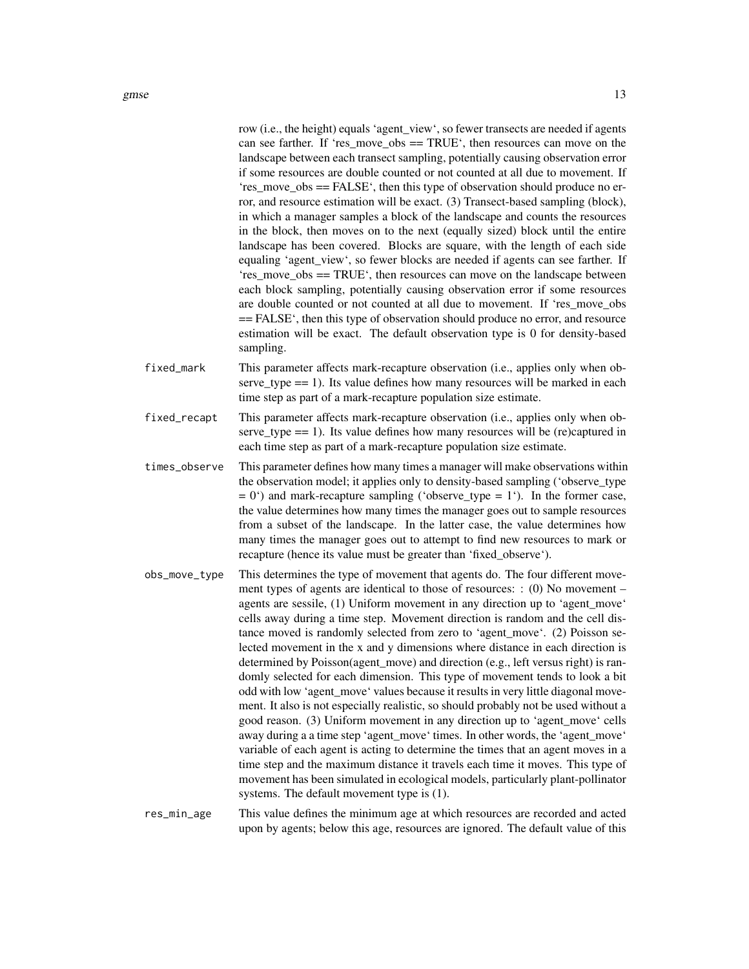gmse  $\qquad 13$ 

|               | row (i.e., the height) equals 'agent_view', so fewer transects are needed if agents<br>can see farther. If 'res_move_obs == $TRUE^{\prime}$ , then resources can move on the<br>landscape between each transect sampling, potentially causing observation error<br>if some resources are double counted or not counted at all due to movement. If<br>'res_move_obs == FALSE', then this type of observation should produce no er-<br>ror, and resource estimation will be exact. (3) Transect-based sampling (block),<br>in which a manager samples a block of the landscape and counts the resources<br>in the block, then moves on to the next (equally sized) block until the entire<br>landscape has been covered. Blocks are square, with the length of each side<br>equaling 'agent_view', so fewer blocks are needed if agents can see farther. If<br>'res_move_obs == TRUE', then resources can move on the landscape between<br>each block sampling, potentially causing observation error if some resources<br>are double counted or not counted at all due to movement. If 'res_move_obs<br>== FALSE', then this type of observation should produce no error, and resource<br>estimation will be exact. The default observation type is 0 for density-based<br>sampling.                                        |
|---------------|----------------------------------------------------------------------------------------------------------------------------------------------------------------------------------------------------------------------------------------------------------------------------------------------------------------------------------------------------------------------------------------------------------------------------------------------------------------------------------------------------------------------------------------------------------------------------------------------------------------------------------------------------------------------------------------------------------------------------------------------------------------------------------------------------------------------------------------------------------------------------------------------------------------------------------------------------------------------------------------------------------------------------------------------------------------------------------------------------------------------------------------------------------------------------------------------------------------------------------------------------------------------------------------------------------------------------|
| fixed_mark    | This parameter affects mark-recapture observation (i.e., applies only when ob-<br>serve_type = $= 1$ ). Its value defines how many resources will be marked in each<br>time step as part of a mark-recapture population size estimate.                                                                                                                                                                                                                                                                                                                                                                                                                                                                                                                                                                                                                                                                                                                                                                                                                                                                                                                                                                                                                                                                                     |
| fixed_recapt  | This parameter affects mark-recapture observation (i.e., applies only when ob-<br>serve_type = $= 1$ ). Its value defines how many resources will be (re)captured in<br>each time step as part of a mark-recapture population size estimate.                                                                                                                                                                                                                                                                                                                                                                                                                                                                                                                                                                                                                                                                                                                                                                                                                                                                                                                                                                                                                                                                               |
| times_observe | This parameter defines how many times a manager will make observations within<br>the observation model; it applies only to density-based sampling ('observe_type<br>$= 0$ <sup>o</sup> ) and mark-recapture sampling ('observe_type = 1'). In the former case,<br>the value determines how many times the manager goes out to sample resources<br>from a subset of the landscape. In the latter case, the value determines how<br>many times the manager goes out to attempt to find new resources to mark or<br>recapture (hence its value must be greater than 'fixed_observe').                                                                                                                                                                                                                                                                                                                                                                                                                                                                                                                                                                                                                                                                                                                                         |
| obs_move_type | This determines the type of movement that agents do. The four different move-<br>ment types of agents are identical to those of resources: $: (0)$ No movement –<br>agents are sessile, (1) Uniform movement in any direction up to 'agent_move'<br>cells away during a time step. Movement direction is random and the cell dis-<br>tance moved is randomly selected from zero to 'agent_move'. (2) Poisson se-<br>lected movement in the x and y dimensions where distance in each direction is<br>determined by Poisson(agent_move) and direction (e.g., left versus right) is ran-<br>domly selected for each dimension. This type of movement tends to look a bit<br>odd with low 'agent_move' values because it results in very little diagonal move-<br>ment. It also is not especially realistic, so should probably not be used without a<br>good reason. (3) Uniform movement in any direction up to 'agent_move' cells<br>away during a a time step 'agent_move' times. In other words, the 'agent_move'<br>variable of each agent is acting to determine the times that an agent moves in a<br>time step and the maximum distance it travels each time it moves. This type of<br>movement has been simulated in ecological models, particularly plant-pollinator<br>systems. The default movement type is (1). |
| res_min_age   | This value defines the minimum age at which resources are recorded and acted<br>upon by agents; below this age, resources are ignored. The default value of this                                                                                                                                                                                                                                                                                                                                                                                                                                                                                                                                                                                                                                                                                                                                                                                                                                                                                                                                                                                                                                                                                                                                                           |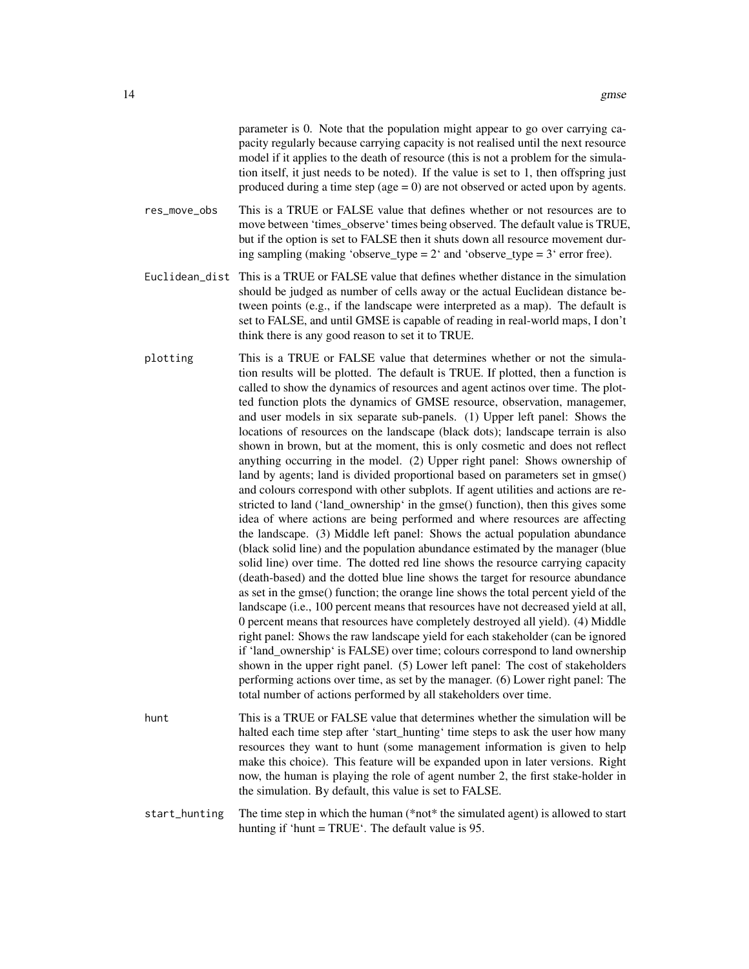parameter is 0. Note that the population might appear to go over carrying capacity regularly because carrying capacity is not realised until the next resource model if it applies to the death of resource (this is not a problem for the simulation itself, it just needs to be noted). If the value is set to 1, then offspring just produced during a time step (age  $= 0$ ) are not observed or acted upon by agents.

- res\_move\_obs This is a TRUE or FALSE value that defines whether or not resources are to move between 'times observe' times being observed. The default value is TRUE, but if the option is set to FALSE then it shuts down all resource movement during sampling (making 'observe\_type =  $2'$  and 'observe\_type =  $3'$  error free).
- Euclidean\_dist This is a TRUE or FALSE value that defines whether distance in the simulation should be judged as number of cells away or the actual Euclidean distance between points (e.g., if the landscape were interpreted as a map). The default is set to FALSE, and until GMSE is capable of reading in real-world maps, I don't think there is any good reason to set it to TRUE.
- plotting This is a TRUE or FALSE value that determines whether or not the simulation results will be plotted. The default is TRUE. If plotted, then a function is called to show the dynamics of resources and agent actinos over time. The plotted function plots the dynamics of GMSE resource, observation, managemer, and user models in six separate sub-panels. (1) Upper left panel: Shows the locations of resources on the landscape (black dots); landscape terrain is also shown in brown, but at the moment, this is only cosmetic and does not reflect anything occurring in the model. (2) Upper right panel: Shows ownership of land by agents; land is divided proportional based on parameters set in gmse() and colours correspond with other subplots. If agent utilities and actions are restricted to land ('land\_ownership' in the gmse() function), then this gives some idea of where actions are being performed and where resources are affecting the landscape. (3) Middle left panel: Shows the actual population abundance (black solid line) and the population abundance estimated by the manager (blue solid line) over time. The dotted red line shows the resource carrying capacity (death-based) and the dotted blue line shows the target for resource abundance as set in the gmse() function; the orange line shows the total percent yield of the landscape (i.e., 100 percent means that resources have not decreased yield at all, 0 percent means that resources have completely destroyed all yield). (4) Middle right panel: Shows the raw landscape yield for each stakeholder (can be ignored if 'land\_ownership' is FALSE) over time; colours correspond to land ownership shown in the upper right panel. (5) Lower left panel: The cost of stakeholders performing actions over time, as set by the manager. (6) Lower right panel: The total number of actions performed by all stakeholders over time.
- hunt This is a TRUE or FALSE value that determines whether the simulation will be halted each time step after 'start\_hunting' time steps to ask the user how many resources they want to hunt (some management information is given to help make this choice). This feature will be expanded upon in later versions. Right now, the human is playing the role of agent number 2, the first stake-holder in the simulation. By default, this value is set to FALSE.
- start\_hunting The time step in which the human (\*not\* the simulated agent) is allowed to start hunting if 'hunt = TRUE'. The default value is 95.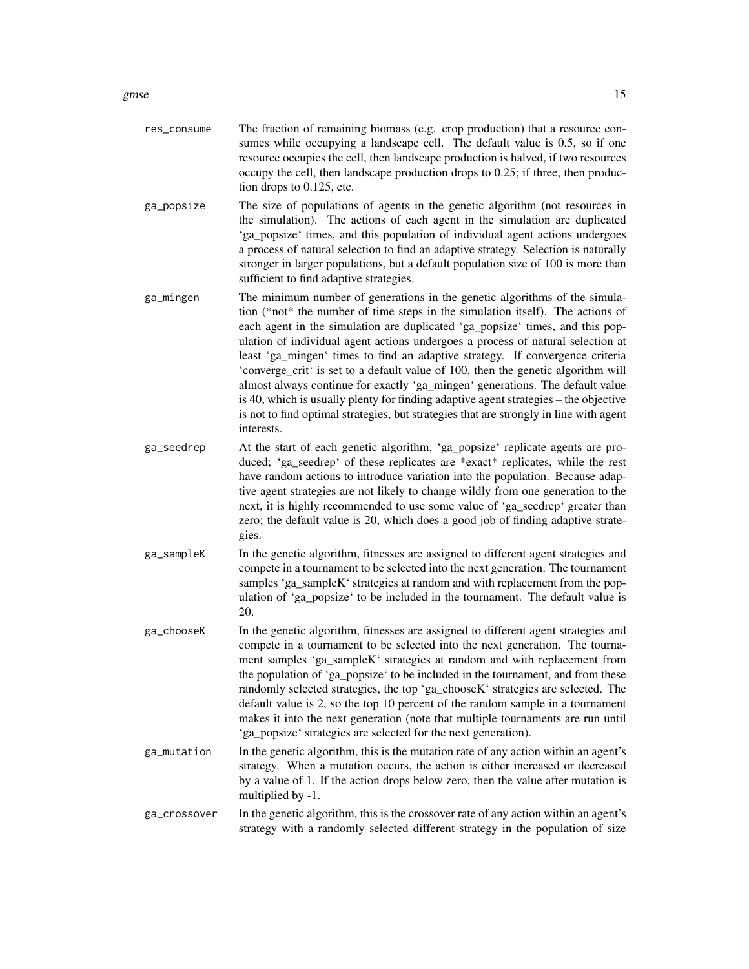|            | sumes while occupying a landscape cell. The default value is 0.5, so if one<br>resource occupies the cell, then landscape production is halved, if two resources<br>occupy the cell, then landscape production drops to 0.25; if three, then produc-<br>tion drops to 0.125, etc.                                                                                                                                                                                                                                                                                                                                                                                                                                                                                                       |
|------------|-----------------------------------------------------------------------------------------------------------------------------------------------------------------------------------------------------------------------------------------------------------------------------------------------------------------------------------------------------------------------------------------------------------------------------------------------------------------------------------------------------------------------------------------------------------------------------------------------------------------------------------------------------------------------------------------------------------------------------------------------------------------------------------------|
| ga_popsize | The size of populations of agents in the genetic algorithm (not resources in<br>the simulation). The actions of each agent in the simulation are duplicated<br>'ga_popsize' times, and this population of individual agent actions undergoes<br>a process of natural selection to find an adaptive strategy. Selection is naturally<br>stronger in larger populations, but a default population size of 100 is more than<br>sufficient to find adaptive strategies.                                                                                                                                                                                                                                                                                                                     |
| ga_mingen  | The minimum number of generations in the genetic algorithms of the simula-<br>tion (*not* the number of time steps in the simulation itself). The actions of<br>each agent in the simulation are duplicated 'ga_popsize' times, and this pop-<br>ulation of individual agent actions undergoes a process of natural selection at<br>least 'ga_mingen' times to find an adaptive strategy. If convergence criteria<br>'converge_crit' is set to a default value of 100, then the genetic algorithm will<br>almost always continue for exactly 'ga_mingen' generations. The default value<br>is 40, which is usually plenty for finding adaptive agent strategies - the objective<br>is not to find optimal strategies, but strategies that are strongly in line with agent<br>interests. |
| ga_seedrep | At the start of each genetic algorithm, 'ga_popsize' replicate agents are pro-<br>duced; 'ga_seedrep' of these replicates are *exact* replicates, while the rest<br>have random actions to introduce variation into the population. Because adap-<br>tive agent strategies are not likely to change wildly from one generation to the<br>next, it is highly recommended to use some value of 'ga_seedrep' greater than<br>zero; the default value is 20, which does a good job of finding adaptive strate-<br>gies.                                                                                                                                                                                                                                                                     |
| ga_sampleK | In the genetic algorithm, fitnesses are assigned to different agent strategies and<br>compete in a tournament to be selected into the next generation. The tournament<br>samples 'ga_sampleK' strategies at random and with replacement from the pop-<br>ulation of 'ga_popsize' to be included in the tournament. The default value is<br>20.                                                                                                                                                                                                                                                                                                                                                                                                                                          |
| ga_chooseK | In the genetic algorithm, fitnesses are assigned to different agent strategies and<br>compete in a tournament to be selected into the next generation. The tourna-<br>ment samples 'ga_sampleK' strategies at random and with replacement from<br>the population of 'ga_popsize' to be included in the tournament, and from these<br>randomly selected strategies, the top 'ga_chooseK' strategies are selected. The                                                                                                                                                                                                                                                                                                                                                                    |

res\_consume The fraction of remaining biomass (e.g. crop production) that a resource con-

'ga\_popsize' strategies are selected for the next generation). ga\_mutation In the genetic algorithm, this is the mutation rate of any action within an agent's strategy. When a mutation occurs, the action is either increased or decreased by a value of 1. If the action drops below zero, then the value after mutation is multiplied by -1.

default value is 2, so the top 10 percent of the random sample in a tournament makes it into the next generation (note that multiple tournaments are run until

ga\_crossover In the genetic algorithm, this is the crossover rate of any action within an agent's strategy with a randomly selected different strategy in the population of size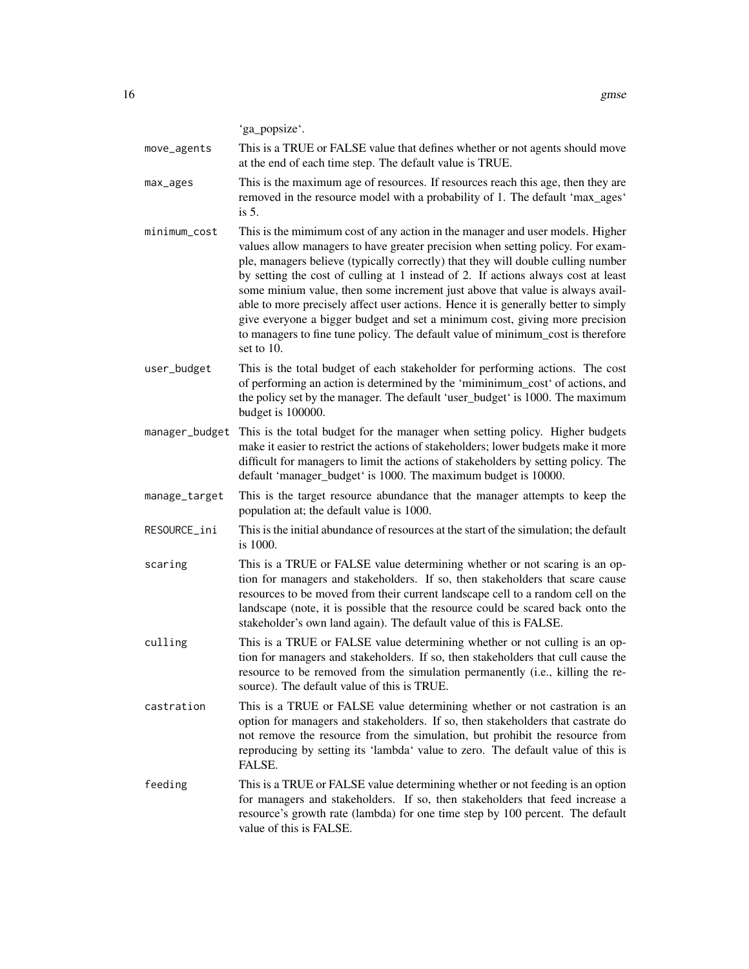'ga\_popsize'.

move\_agents This is a TRUE or FALSE value that defines whether or not agents should move at the end of each time step. The default value is TRUE.

- max\_ages This is the maximum age of resources. If resources reach this age, then they are removed in the resource model with a probability of 1. The default 'max\_ages' is 5.
- minimum\_cost This is the mimimum cost of any action in the manager and user models. Higher values allow managers to have greater precision when setting policy. For example, managers believe (typically correctly) that they will double culling number by setting the cost of culling at 1 instead of 2. If actions always cost at least some minium value, then some increment just above that value is always available to more precisely affect user actions. Hence it is generally better to simply give everyone a bigger budget and set a minimum cost, giving more precision to managers to fine tune policy. The default value of minimum\_cost is therefore set to 10.
- user\_budget This is the total budget of each stakeholder for performing actions. The cost of performing an action is determined by the 'miminimum\_cost' of actions, and the policy set by the manager. The default 'user\_budget' is 1000. The maximum budget is 100000.
- manager\_budget This is the total budget for the manager when setting policy. Higher budgets make it easier to restrict the actions of stakeholders; lower budgets make it more difficult for managers to limit the actions of stakeholders by setting policy. The default 'manager\_budget' is 1000. The maximum budget is 10000.
- manage\_target This is the target resource abundance that the manager attempts to keep the population at; the default value is 1000.
- RESOURCE\_ini This is the initial abundance of resources at the start of the simulation; the default is 1000.
- scaring This is a TRUE or FALSE value determining whether or not scaring is an option for managers and stakeholders. If so, then stakeholders that scare cause resources to be moved from their current landscape cell to a random cell on the landscape (note, it is possible that the resource could be scared back onto the stakeholder's own land again). The default value of this is FALSE.
- culling This is a TRUE or FALSE value determining whether or not culling is an option for managers and stakeholders. If so, then stakeholders that cull cause the resource to be removed from the simulation permanently (i.e., killing the resource). The default value of this is TRUE.
- castration This is a TRUE or FALSE value determining whether or not castration is an option for managers and stakeholders. If so, then stakeholders that castrate do not remove the resource from the simulation, but prohibit the resource from reproducing by setting its 'lambda' value to zero. The default value of this is FALSE.
- feeding This is a TRUE or FALSE value determining whether or not feeding is an option for managers and stakeholders. If so, then stakeholders that feed increase a resource's growth rate (lambda) for one time step by 100 percent. The default value of this is FALSE.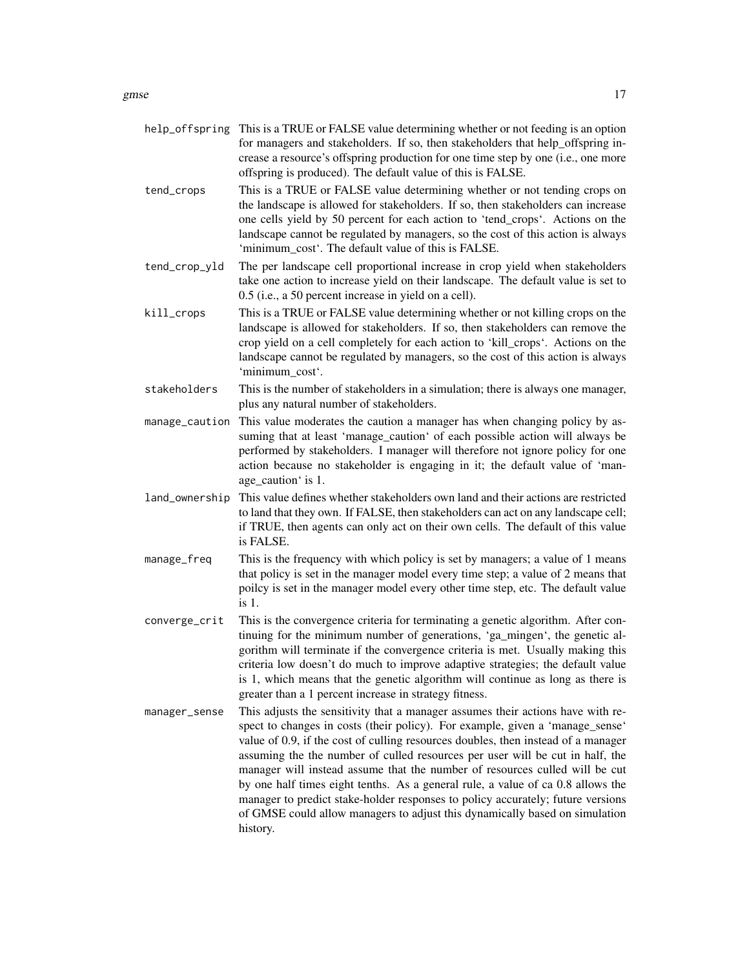- help\_offspring This is a TRUE or FALSE value determining whether or not feeding is an option for managers and stakeholders. If so, then stakeholders that help\_offspring increase a resource's offspring production for one time step by one (i.e., one more offspring is produced). The default value of this is FALSE.
- tend\_crops This is a TRUE or FALSE value determining whether or not tending crops on the landscape is allowed for stakeholders. If so, then stakeholders can increase one cells yield by 50 percent for each action to 'tend\_crops'. Actions on the landscape cannot be regulated by managers, so the cost of this action is always 'minimum\_cost'. The default value of this is FALSE.
- tend\_crop\_yld The per landscape cell proportional increase in crop yield when stakeholders take one action to increase yield on their landscape. The default value is set to 0.5 (i.e., a 50 percent increase in yield on a cell).
- kill\_crops This is a TRUE or FALSE value determining whether or not killing crops on the landscape is allowed for stakeholders. If so, then stakeholders can remove the crop yield on a cell completely for each action to 'kill\_crops'. Actions on the landscape cannot be regulated by managers, so the cost of this action is always 'minimum\_cost'.
- stakeholders This is the number of stakeholders in a simulation; there is always one manager, plus any natural number of stakeholders.
- manage\_caution This value moderates the caution a manager has when changing policy by assuming that at least 'manage\_caution' of each possible action will always be performed by stakeholders. I manager will therefore not ignore policy for one action because no stakeholder is engaging in it; the default value of 'manage caution ' is 1.
- land\_ownership This value defines whether stakeholders own land and their actions are restricted to land that they own. If FALSE, then stakeholders can act on any landscape cell; if TRUE, then agents can only act on their own cells. The default of this value is FALSE.
- manage\_freq This is the frequency with which policy is set by managers; a value of 1 means that policy is set in the manager model every time step; a value of 2 means that poilcy is set in the manager model every other time step, etc. The default value is 1.
- converge\_crit This is the convergence criteria for terminating a genetic algorithm. After continuing for the minimum number of generations, 'ga\_mingen', the genetic algorithm will terminate if the convergence criteria is met. Usually making this criteria low doesn't do much to improve adaptive strategies; the default value is 1, which means that the genetic algorithm will continue as long as there is greater than a 1 percent increase in strategy fitness.
- manager\_sense This adjusts the sensitivity that a manager assumes their actions have with respect to changes in costs (their policy). For example, given a 'manage\_sense' value of 0.9, if the cost of culling resources doubles, then instead of a manager assuming the the number of culled resources per user will be cut in half, the manager will instead assume that the number of resources culled will be cut by one half times eight tenths. As a general rule, a value of ca 0.8 allows the manager to predict stake-holder responses to policy accurately; future versions of GMSE could allow managers to adjust this dynamically based on simulation history.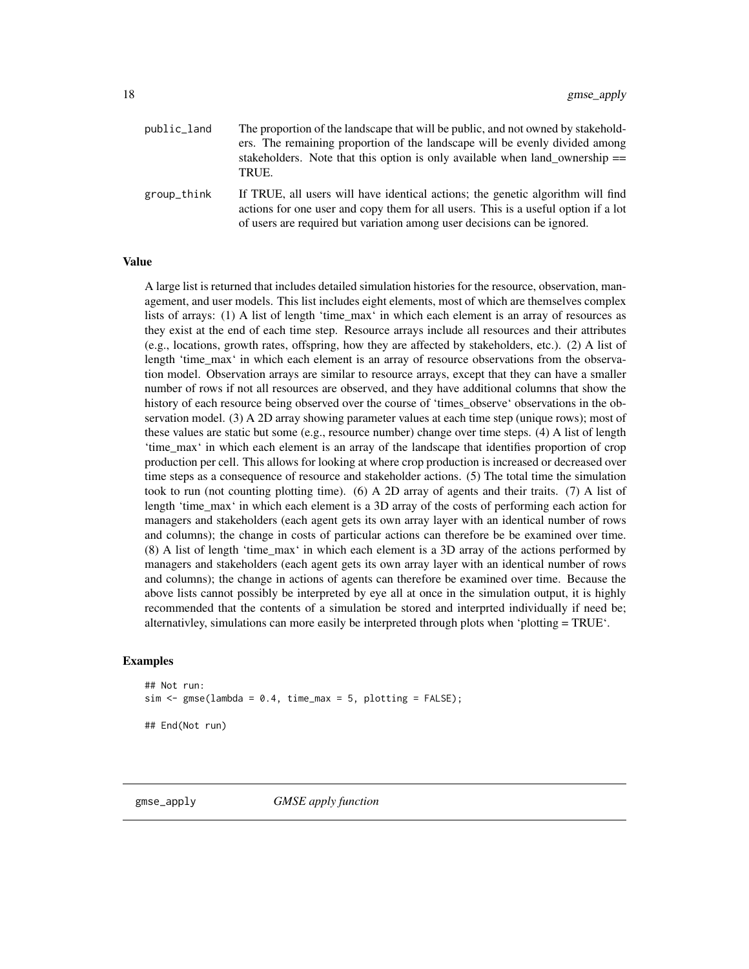<span id="page-17-0"></span>

| public_land | The proportion of the landscape that will be public, and not owned by stakehold-<br>ers. The remaining proportion of the landscape will be evenly divided among<br>stakeholders. Note that this option is only available when land_ownership $==$<br>TRUE. |
|-------------|------------------------------------------------------------------------------------------------------------------------------------------------------------------------------------------------------------------------------------------------------------|
| group_think | If TRUE, all users will have identical actions; the genetic algorithm will find<br>actions for one user and copy them for all users. This is a useful option if a lot<br>of users are required but variation among user decisions can be ignored.          |

#### Value

A large list is returned that includes detailed simulation histories for the resource, observation, management, and user models. This list includes eight elements, most of which are themselves complex lists of arrays: (1) A list of length 'time\_max' in which each element is an array of resources as they exist at the end of each time step. Resource arrays include all resources and their attributes (e.g., locations, growth rates, offspring, how they are affected by stakeholders, etc.). (2) A list of length 'time max' in which each element is an array of resource observations from the observation model. Observation arrays are similar to resource arrays, except that they can have a smaller number of rows if not all resources are observed, and they have additional columns that show the history of each resource being observed over the course of 'times observe' observations in the observation model. (3) A 2D array showing parameter values at each time step (unique rows); most of these values are static but some (e.g., resource number) change over time steps. (4) A list of length 'time\_max' in which each element is an array of the landscape that identifies proportion of crop production per cell. This allows for looking at where crop production is increased or decreased over time steps as a consequence of resource and stakeholder actions. (5) The total time the simulation took to run (not counting plotting time). (6) A 2D array of agents and their traits. (7) A list of length 'time\_max' in which each element is a 3D array of the costs of performing each action for managers and stakeholders (each agent gets its own array layer with an identical number of rows and columns); the change in costs of particular actions can therefore be be examined over time. (8) A list of length 'time\_max' in which each element is a 3D array of the actions performed by managers and stakeholders (each agent gets its own array layer with an identical number of rows and columns); the change in actions of agents can therefore be examined over time. Because the above lists cannot possibly be interpreted by eye all at once in the simulation output, it is highly recommended that the contents of a simulation be stored and interprted individually if need be; alternativley, simulations can more easily be interpreted through plots when 'plotting = TRUE'.

#### Examples

## Not run:  $sim <$  gmse(lambda = 0.4, time\_max = 5, plotting = FALSE); ## End(Not run)

gmse\_apply *GMSE apply function*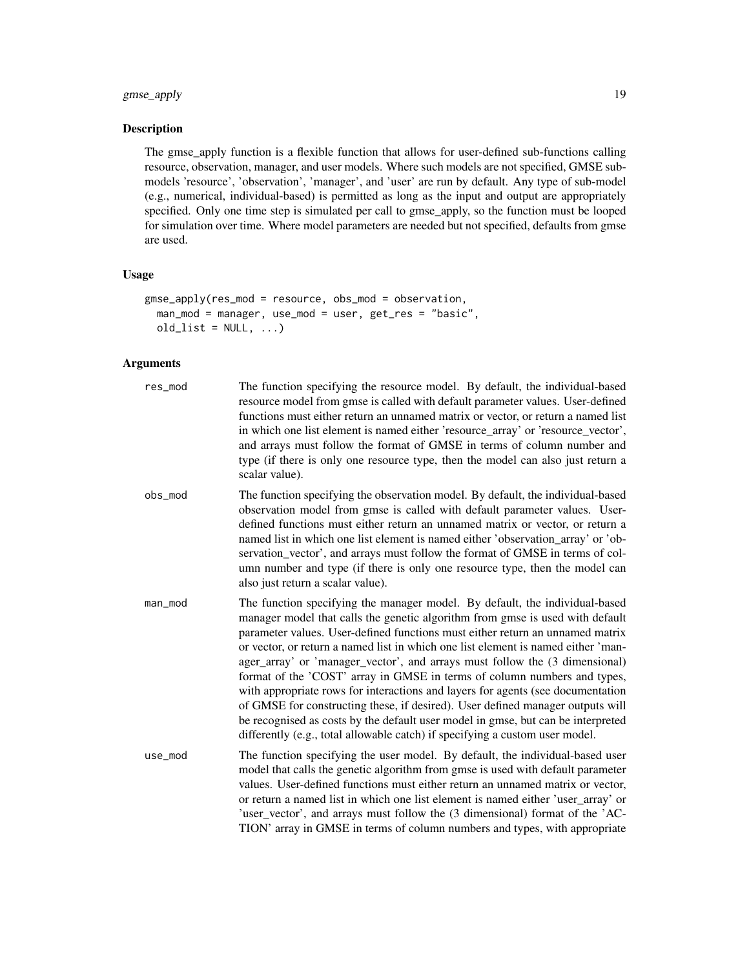# gmse\_apply 19

# Description

The gmse\_apply function is a flexible function that allows for user-defined sub-functions calling resource, observation, manager, and user models. Where such models are not specified, GMSE submodels 'resource', 'observation', 'manager', and 'user' are run by default. Any type of sub-model (e.g., numerical, individual-based) is permitted as long as the input and output are appropriately specified. Only one time step is simulated per call to gmse\_apply, so the function must be looped for simulation over time. Where model parameters are needed but not specified, defaults from gmse are used.

# Usage

```
gmse_apply(res_mod = resource, obs_mod = observation,
 man_mod = manager, use_mod = user, get_res = "basic",
 old\_list = NULL, ...)
```
# Arguments

| res_mod | The function specifying the resource model. By default, the individual-based<br>resource model from gmse is called with default parameter values. User-defined<br>functions must either return an unnamed matrix or vector, or return a named list<br>in which one list element is named either 'resource_array' or 'resource_vector',<br>and arrays must follow the format of GMSE in terms of column number and<br>type (if there is only one resource type, then the model can also just return a<br>scalar value).                                                                                                                                                                                                                                                                                                                 |
|---------|----------------------------------------------------------------------------------------------------------------------------------------------------------------------------------------------------------------------------------------------------------------------------------------------------------------------------------------------------------------------------------------------------------------------------------------------------------------------------------------------------------------------------------------------------------------------------------------------------------------------------------------------------------------------------------------------------------------------------------------------------------------------------------------------------------------------------------------|
| obs_mod | The function specifying the observation model. By default, the individual-based<br>observation model from gmse is called with default parameter values. User-<br>defined functions must either return an unnamed matrix or vector, or return a<br>named list in which one list element is named either 'observation_array' or 'ob-<br>servation_vector', and arrays must follow the format of GMSE in terms of col-<br>umn number and type (if there is only one resource type, then the model can<br>also just return a scalar value).                                                                                                                                                                                                                                                                                                |
| man_mod | The function specifying the manager model. By default, the individual-based<br>manager model that calls the genetic algorithm from gmse is used with default<br>parameter values. User-defined functions must either return an unnamed matrix<br>or vector, or return a named list in which one list element is named either 'man-<br>ager_array' or 'manager_vector', and arrays must follow the (3 dimensional)<br>format of the 'COST' array in GMSE in terms of column numbers and types,<br>with appropriate rows for interactions and layers for agents (see documentation<br>of GMSE for constructing these, if desired). User defined manager outputs will<br>be recognised as costs by the default user model in gmse, but can be interpreted<br>differently (e.g., total allowable catch) if specifying a custom user model. |
| use_mod | The function specifying the user model. By default, the individual-based user<br>model that calls the genetic algorithm from gmse is used with default parameter<br>values. User-defined functions must either return an unnamed matrix or vector,<br>or return a named list in which one list element is named either 'user_array' or<br>'user_vector', and arrays must follow the (3 dimensional) format of the 'AC-<br>TION' array in GMSE in terms of column numbers and types, with appropriate                                                                                                                                                                                                                                                                                                                                   |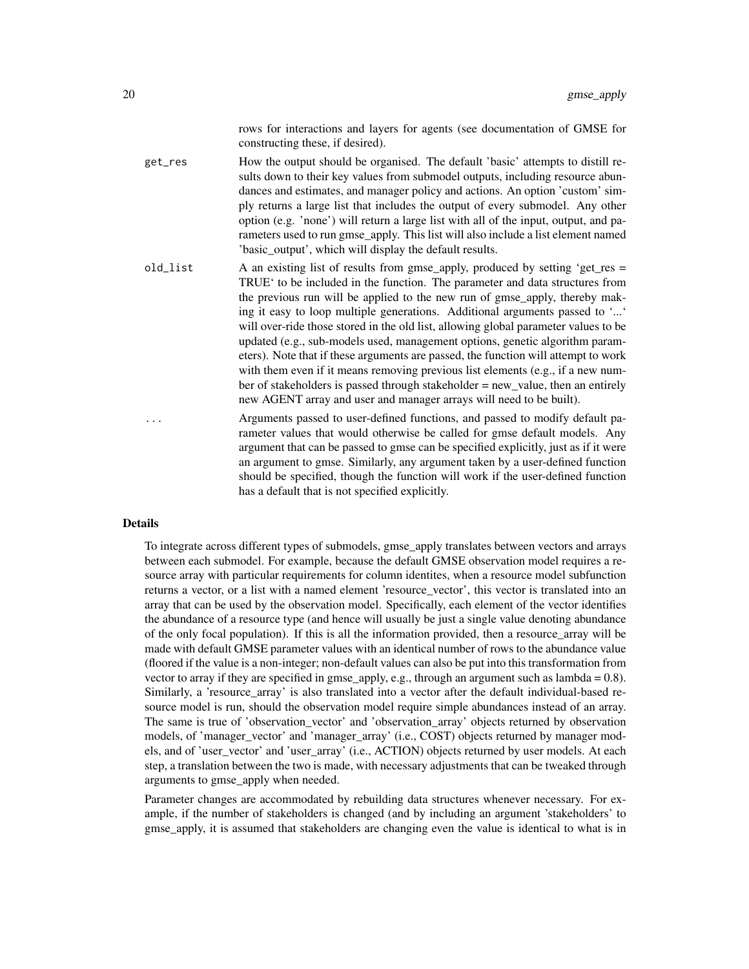rows for interactions and layers for agents (see documentation of GMSE for constructing these, if desired).

get\_res How the output should be organised. The default 'basic' attempts to distill results down to their key values from submodel outputs, including resource abundances and estimates, and manager policy and actions. An option 'custom' simply returns a large list that includes the output of every submodel. Any other option (e.g. 'none') will return a large list with all of the input, output, and parameters used to run gmse\_apply. This list will also include a list element named 'basic\_output', which will display the default results.

- old list A an existing list of results from gmse apply, produced by setting 'get res  $=$ TRUE' to be included in the function. The parameter and data structures from the previous run will be applied to the new run of gmse\_apply, thereby making it easy to loop multiple generations. Additional arguments passed to '...' will over-ride those stored in the old list, allowing global parameter values to be updated (e.g., sub-models used, management options, genetic algorithm parameters). Note that if these arguments are passed, the function will attempt to work with them even if it means removing previous list elements (e.g., if a new number of stakeholders is passed through stakeholder  $=$  new value, then an entirely new AGENT array and user and manager arrays will need to be built).
- Arguments passed to user-defined functions, and passed to modify default parameter values that would otherwise be called for gmse default models. Any argument that can be passed to gmse can be specified explicitly, just as if it were an argument to gmse. Similarly, any argument taken by a user-defined function should be specified, though the function will work if the user-defined function has a default that is not specified explicitly.

#### Details

To integrate across different types of submodels, gmse\_apply translates between vectors and arrays between each submodel. For example, because the default GMSE observation model requires a resource array with particular requirements for column identites, when a resource model subfunction returns a vector, or a list with a named element 'resource vector', this vector is translated into an array that can be used by the observation model. Specifically, each element of the vector identifies the abundance of a resource type (and hence will usually be just a single value denoting abundance of the only focal population). If this is all the information provided, then a resource\_array will be made with default GMSE parameter values with an identical number of rows to the abundance value (floored if the value is a non-integer; non-default values can also be put into this transformation from vector to array if they are specified in gmse apply, e.g., through an argument such as lambda =  $0.8$ ). Similarly, a 'resource\_array' is also translated into a vector after the default individual-based resource model is run, should the observation model require simple abundances instead of an array. The same is true of 'observation\_vector' and 'observation\_array' objects returned by observation models, of 'manager\_vector' and 'manager\_array' (i.e., COST) objects returned by manager models, and of 'user\_vector' and 'user\_array' (i.e., ACTION) objects returned by user models. At each step, a translation between the two is made, with necessary adjustments that can be tweaked through arguments to gmse\_apply when needed.

Parameter changes are accommodated by rebuilding data structures whenever necessary. For example, if the number of stakeholders is changed (and by including an argument 'stakeholders' to gmse\_apply, it is assumed that stakeholders are changing even the value is identical to what is in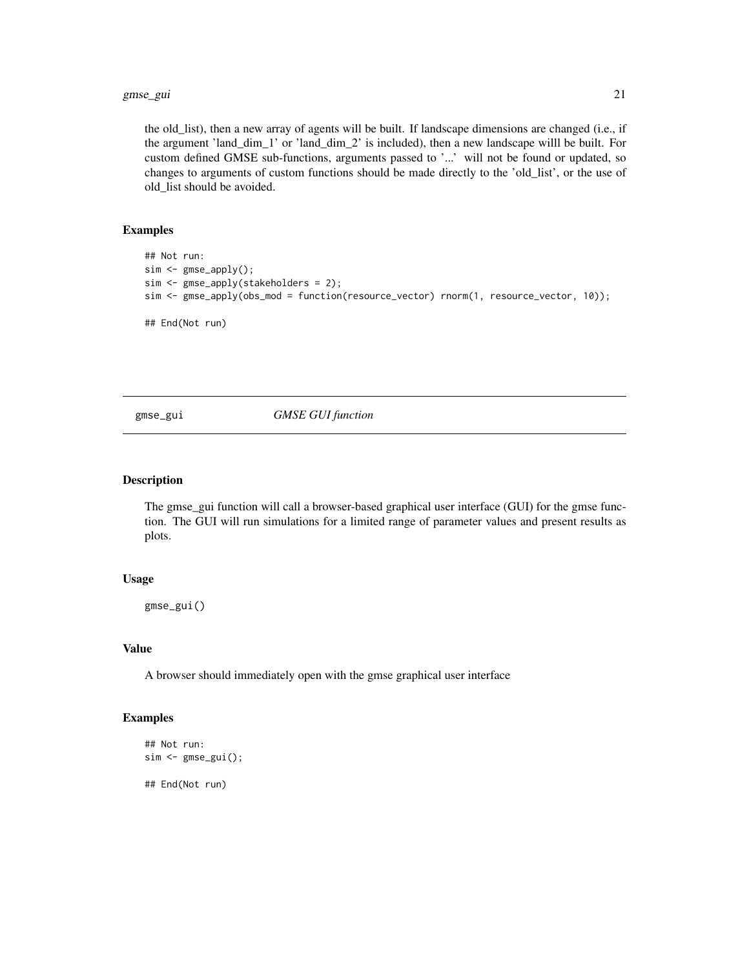#### <span id="page-20-0"></span>gmse\_gui 21

the old\_list), then a new array of agents will be built. If landscape dimensions are changed (i.e., if the argument 'land\_dim\_1' or 'land\_dim\_2' is included), then a new landscape willl be built. For custom defined GMSE sub-functions, arguments passed to '...' will not be found or updated, so changes to arguments of custom functions should be made directly to the 'old\_list', or the use of old\_list should be avoided.

# Examples

```
## Not run:
sim <- gmse_apply();
sim <- gmse_apply(stakeholders = 2);
sim <- gmse_apply(obs_mod = function(resource_vector) rnorm(1, resource_vector, 10));
## End(Not run)
```
gmse\_gui *GMSE GUI function*

#### Description

The gmse\_gui function will call a browser-based graphical user interface (GUI) for the gmse function. The GUI will run simulations for a limited range of parameter values and present results as plots.

# Usage

gmse\_gui()

#### Value

A browser should immediately open with the gmse graphical user interface

#### Examples

```
## Not run:
sim <- gmse_gui();
## End(Not run)
```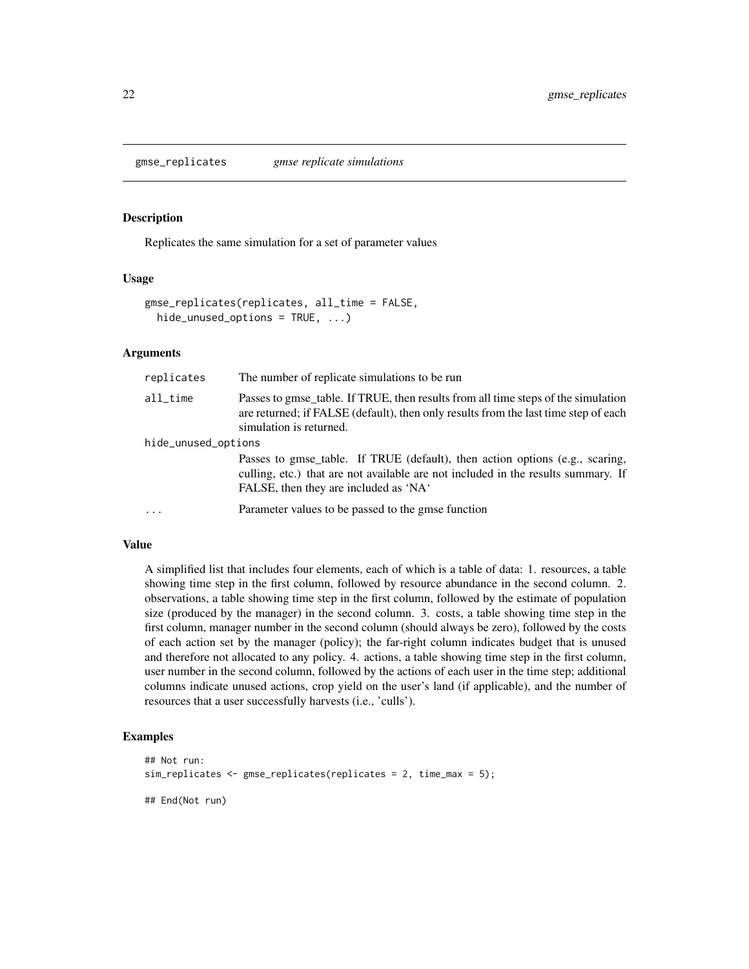<span id="page-21-0"></span>

Replicates the same simulation for a set of parameter values

#### Usage

```
gmse_replicates(replicates, all_time = FALSE,
 hide_unused_options = TRUE, ...)
```
#### **Arguments**

| replicates          | The number of replicate simulations to be run                                                                                                                                                              |
|---------------------|------------------------------------------------------------------------------------------------------------------------------------------------------------------------------------------------------------|
| $all\_time$         | Passes to gmse_table. If TRUE, then results from all time steps of the simulation<br>are returned; if FALSE (default), then only results from the last time step of each<br>simulation is returned.        |
| hide_unused_options |                                                                                                                                                                                                            |
|                     | Passes to gmse_table. If TRUE (default), then action options (e.g., scaring,<br>culling, etc.) that are not available are not included in the results summary. If<br>FALSE, then they are included as 'NA' |
| $\cdots$            | Parameter values to be passed to the gmse function                                                                                                                                                         |

#### Value

A simplified list that includes four elements, each of which is a table of data: 1. resources, a table showing time step in the first column, followed by resource abundance in the second column. 2. observations, a table showing time step in the first column, followed by the estimate of population size (produced by the manager) in the second column. 3. costs, a table showing time step in the first column, manager number in the second column (should always be zero), followed by the costs of each action set by the manager (policy); the far-right column indicates budget that is unused and therefore not allocated to any policy. 4. actions, a table showing time step in the first column, user number in the second column, followed by the actions of each user in the time step; additional columns indicate unused actions, crop yield on the user's land (if applicable), and the number of resources that a user successfully harvests (i.e., 'culls').

#### Examples

```
## Not run:
sim_replicates <- gmse_replicates(replicates = 2, time_max = 5);
## End(Not run)
```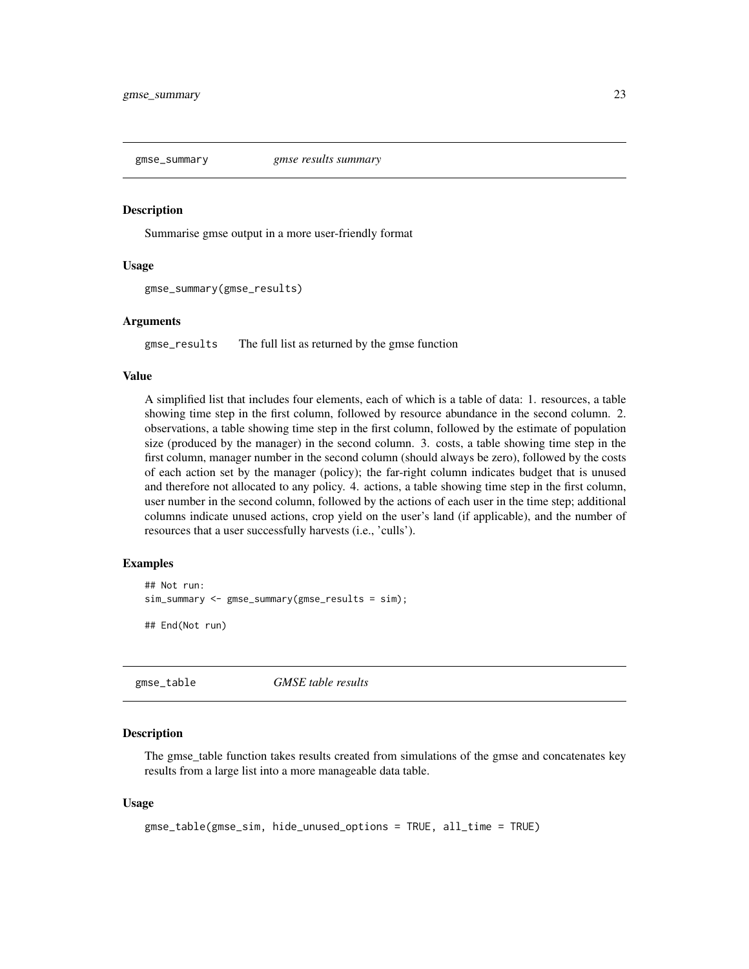<span id="page-22-0"></span>

Summarise gmse output in a more user-friendly format

#### Usage

```
gmse_summary(gmse_results)
```
#### Arguments

gmse\_results The full list as returned by the gmse function

#### Value

A simplified list that includes four elements, each of which is a table of data: 1. resources, a table showing time step in the first column, followed by resource abundance in the second column. 2. observations, a table showing time step in the first column, followed by the estimate of population size (produced by the manager) in the second column. 3. costs, a table showing time step in the first column, manager number in the second column (should always be zero), followed by the costs of each action set by the manager (policy); the far-right column indicates budget that is unused and therefore not allocated to any policy. 4. actions, a table showing time step in the first column, user number in the second column, followed by the actions of each user in the time step; additional columns indicate unused actions, crop yield on the user's land (if applicable), and the number of resources that a user successfully harvests (i.e., 'culls').

# Examples

```
## Not run:
sim_summary <- gmse_summary(gmse_results = sim);
```
## End(Not run)

gmse\_table *GMSE table results*

# Description

The gmse\_table function takes results created from simulations of the gmse and concatenates key results from a large list into a more manageable data table.

#### Usage

```
gmse_table(gmse_sim, hide_unused_options = TRUE, all_time = TRUE)
```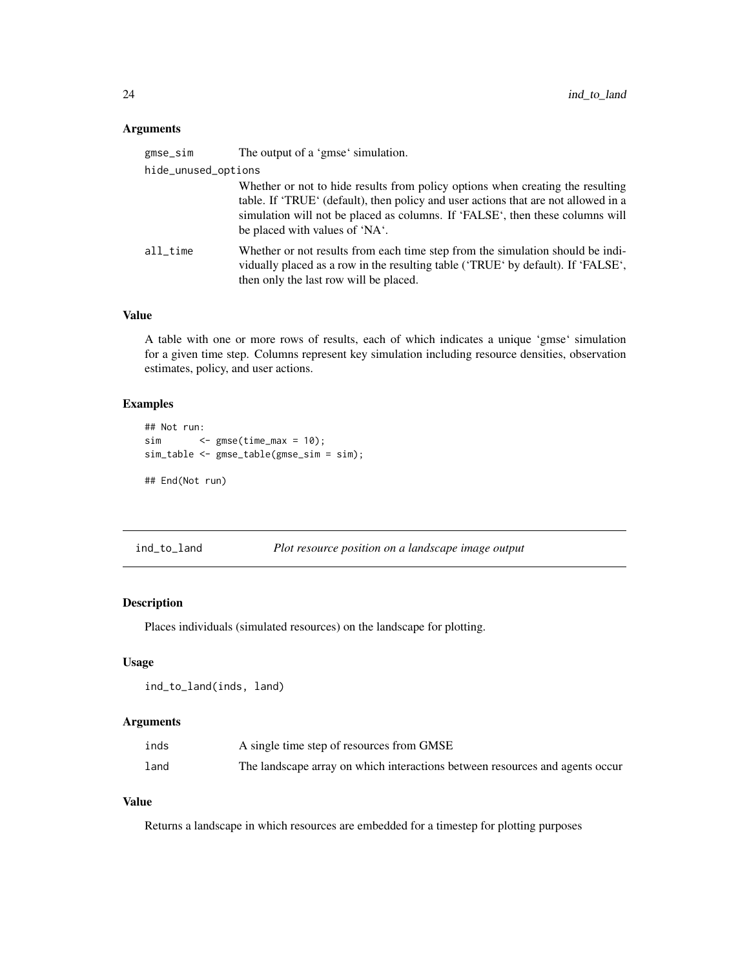# <span id="page-23-0"></span>Arguments

| gmse_sim            | The output of a 'gmse' simulation.                                                                                                                                                                                                                                                      |
|---------------------|-----------------------------------------------------------------------------------------------------------------------------------------------------------------------------------------------------------------------------------------------------------------------------------------|
| hide_unused_options |                                                                                                                                                                                                                                                                                         |
|                     | Whether or not to hide results from policy options when creating the resulting<br>table. If 'TRUE' (default), then policy and user actions that are not allowed in a<br>simulation will not be placed as columns. If 'FALSE', then these columns will<br>be placed with values of 'NA'. |
| all time            | Whether or not results from each time step from the simulation should be indi-<br>vidually placed as a row in the resulting table ('TRUE' by default). If 'FALSE',<br>then only the last row will be placed.                                                                            |

# Value

A table with one or more rows of results, each of which indicates a unique 'gmse' simulation for a given time step. Columns represent key simulation including resource densities, observation estimates, policy, and user actions.

# Examples

```
## Not run:
sim <- gmse(time_max = 10);
sim_table <- gmse_table(gmse_sim = sim);
## End(Not run)
```
ind\_to\_land *Plot resource position on a landscape image output*

# Description

Places individuals (simulated resources) on the landscape for plotting.

#### Usage

```
ind_to_land(inds, land)
```
# Arguments

| inds | A single time step of resources from GMSE                                    |
|------|------------------------------------------------------------------------------|
| land | The landscape array on which interactions between resources and agents occur |

# Value

Returns a landscape in which resources are embedded for a timestep for plotting purposes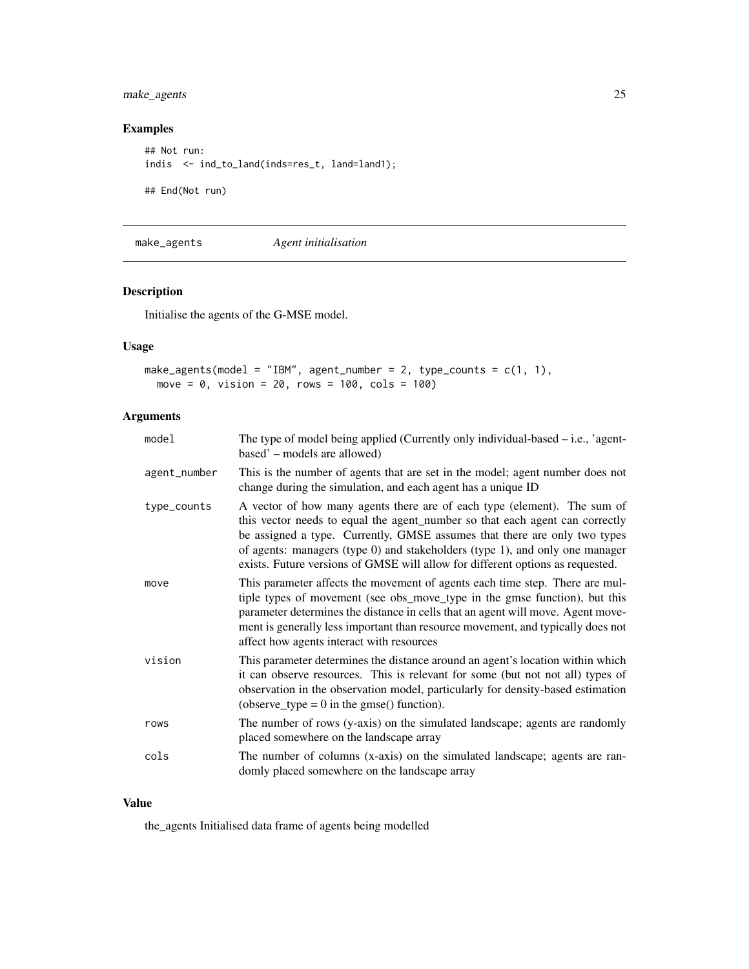# <span id="page-24-0"></span>make\_agents 25

# Examples

```
## Not run:
indis <- ind_to_land(inds=res_t, land=land1);
## End(Not run)
```
make\_agents *Agent initialisation*

# Description

Initialise the agents of the G-MSE model.

# Usage

```
make_agents(model = "IBM", agent_number = 2, type_counts = c(1, 1),
 move = 0, vision = 20, rows = 100, cols = 100)
```
# Arguments

| model        | The type of model being applied (Currently only individual-based $-$ i.e., 'agent-<br>based' – models are allowed)                                                                                                                                                                                                                                                                                      |
|--------------|---------------------------------------------------------------------------------------------------------------------------------------------------------------------------------------------------------------------------------------------------------------------------------------------------------------------------------------------------------------------------------------------------------|
| agent_number | This is the number of agents that are set in the model; agent number does not<br>change during the simulation, and each agent has a unique ID                                                                                                                                                                                                                                                           |
| type_counts  | A vector of how many agents there are of each type (element). The sum of<br>this vector needs to equal the agent_number so that each agent can correctly<br>be assigned a type. Currently, GMSE assumes that there are only two types<br>of agents: managers (type 0) and stakeholders (type 1), and only one manager<br>exists. Future versions of GMSE will allow for different options as requested. |
| move         | This parameter affects the movement of agents each time step. There are mul-<br>tiple types of movement (see obs_move_type in the gmse function), but this<br>parameter determines the distance in cells that an agent will move. Agent move-<br>ment is generally less important than resource movement, and typically does not<br>affect how agents interact with resources                           |
| vision       | This parameter determines the distance around an agent's location within which<br>it can observe resources. This is relevant for some (but not not all) types of<br>observation in the observation model, particularly for density-based estimation<br>(observe_type = $0$ in the gmse() function).                                                                                                     |
| rows         | The number of rows (y-axis) on the simulated landscape; agents are randomly<br>placed somewhere on the landscape array                                                                                                                                                                                                                                                                                  |
| cols         | The number of columns (x-axis) on the simulated landscape; agents are ran-<br>domly placed somewhere on the landscape array                                                                                                                                                                                                                                                                             |

# Value

the\_agents Initialised data frame of agents being modelled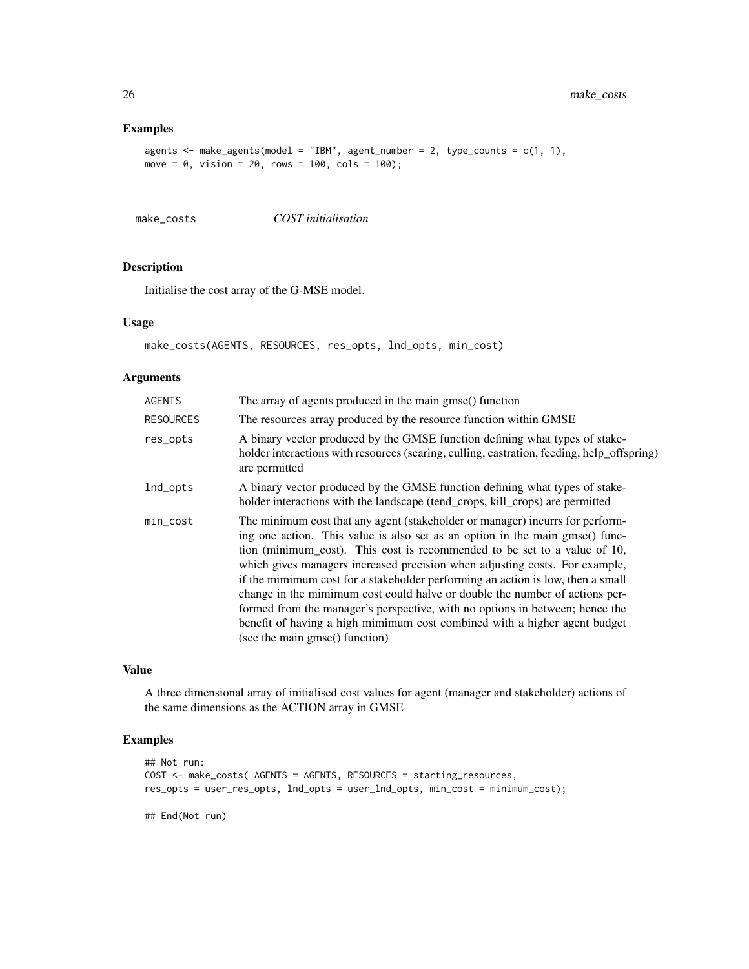# Examples

```
agents \leq make_agents(model = "IBM", agent_number = 2, type_counts = c(1, 1),
move = 0, vision = 20, rows = 100, cols = 100);
```
make\_costs *COST initialisation*

#### Description

Initialise the cost array of the G-MSE model.

# Usage

```
make_costs(AGENTS, RESOURCES, res_opts, lnd_opts, min_cost)
```
# Arguments

| <b>AGENTS</b>    | The array of agents produced in the main gmse() function                                                                                                                                                                                                                                                                                                                                                                                                                                                                                                                                                                                                                                   |
|------------------|--------------------------------------------------------------------------------------------------------------------------------------------------------------------------------------------------------------------------------------------------------------------------------------------------------------------------------------------------------------------------------------------------------------------------------------------------------------------------------------------------------------------------------------------------------------------------------------------------------------------------------------------------------------------------------------------|
| <b>RESOURCES</b> | The resources array produced by the resource function within GMSE                                                                                                                                                                                                                                                                                                                                                                                                                                                                                                                                                                                                                          |
| res_opts         | A binary vector produced by the GMSE function defining what types of stake-<br>holder interactions with resources (scaring, culling, castration, feeding, help_offspring)<br>are permitted                                                                                                                                                                                                                                                                                                                                                                                                                                                                                                 |
| lnd_opts         | A binary vector produced by the GMSE function defining what types of stake-<br>holder interactions with the landscape (tend_crops, kill_crops) are permitted                                                                                                                                                                                                                                                                                                                                                                                                                                                                                                                               |
| $min\_cost$      | The minimum cost that any agent (stakeholder or manager) incurrs for perform-<br>ing one action. This value is also set as an option in the main gmse() func-<br>tion (minimum_cost). This cost is recommended to be set to a value of 10,<br>which gives managers increased precision when adjusting costs. For example,<br>if the mimimum cost for a stakeholder performing an action is low, then a small<br>change in the mimimum cost could halve or double the number of actions per-<br>formed from the manager's perspective, with no options in between; hence the<br>benefit of having a high mimimum cost combined with a higher agent budget<br>(see the main gmse() function) |

# Value

A three dimensional array of initialised cost values for agent (manager and stakeholder) actions of the same dimensions as the ACTION array in GMSE

# Examples

```
## Not run:
COST <- make_costs( AGENTS = AGENTS, RESOURCES = starting_resources,
res_opts = user_res_opts, lnd_opts = user_lnd_opts, min_cost = minimum_cost);
```
## End(Not run)

<span id="page-25-0"></span>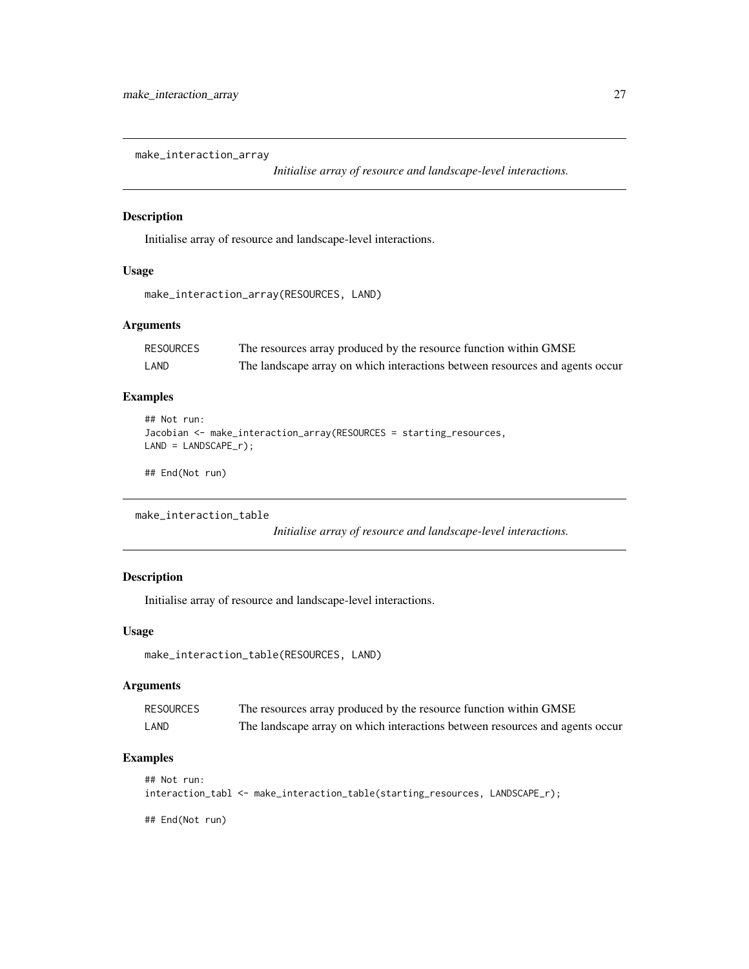<span id="page-26-0"></span>make\_interaction\_array

*Initialise array of resource and landscape-level interactions.*

# Description

Initialise array of resource and landscape-level interactions.

# Usage

```
make_interaction_array(RESOURCES, LAND)
```
# Arguments

| RESOURCES | The resources array produced by the resource function within GMSE            |
|-----------|------------------------------------------------------------------------------|
| LAND      | The landscape array on which interactions between resources and agents occur |

# Examples

```
## Not run:
Jacobian <- make_interaction_array(RESOURCES = starting_resources,
LAND = LANDSCAPE_r);
```
## End(Not run)

```
make_interaction_table
```
*Initialise array of resource and landscape-level interactions.*

# Description

Initialise array of resource and landscape-level interactions.

# Usage

```
make_interaction_table(RESOURCES, LAND)
```
# Arguments

| RESOURCES | The resources array produced by the resource function within GMSE            |
|-----------|------------------------------------------------------------------------------|
| LAND      | The landscape array on which interactions between resources and agents occur |

# Examples

```
## Not run:
interaction_tabl <- make_interaction_table(starting_resources, LANDSCAPE_r);
```
## End(Not run)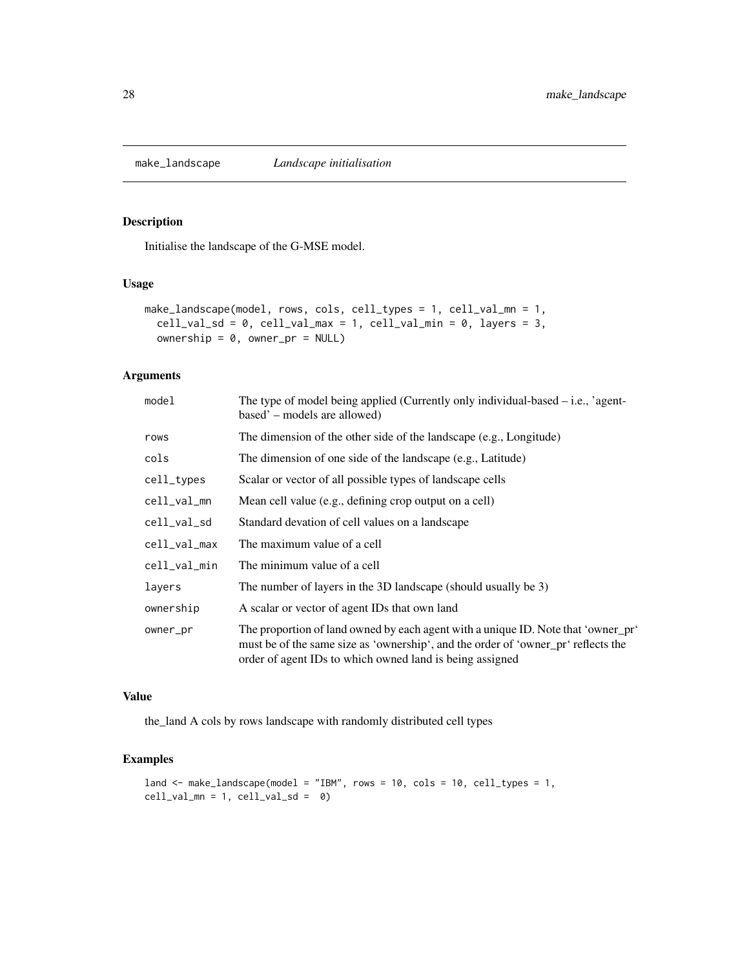<span id="page-27-0"></span>

Initialise the landscape of the G-MSE model.

#### Usage

```
make_landscape(model, rows, cols, cell_types = 1, cell_val_mn = 1,
  cell\_val\_sd = 0, cell\_val\_max = 1, cell\_val\_min = 0, layers = 3,
  ownership = 0, owner_pr = NULL)
```
# Arguments

| model        | The type of model being applied (Currently only individual-based $-$ i.e., 'agent-<br>based' – models are allowed)                                                                                                                 |
|--------------|------------------------------------------------------------------------------------------------------------------------------------------------------------------------------------------------------------------------------------|
| rows         | The dimension of the other side of the landscape (e.g., Longitude)                                                                                                                                                                 |
| cols         | The dimension of one side of the landscape (e.g., Latitude)                                                                                                                                                                        |
| cell_types   | Scalar or vector of all possible types of landscape cells                                                                                                                                                                          |
| cell_val_mn  | Mean cell value (e.g., defining crop output on a cell)                                                                                                                                                                             |
| cell_val_sd  | Standard devation of cell values on a landscape                                                                                                                                                                                    |
| cell_val_max | The maximum value of a cell                                                                                                                                                                                                        |
| cell_val_min | The minimum value of a cell                                                                                                                                                                                                        |
| layers       | The number of layers in the 3D landscape (should usually be 3)                                                                                                                                                                     |
| ownership    | A scalar or vector of agent IDs that own land                                                                                                                                                                                      |
| owner_pr     | The proportion of land owned by each agent with a unique ID. Note that 'owner_pr'<br>must be of the same size as 'ownership', and the order of 'owner_pr' reflects the<br>order of agent IDs to which owned land is being assigned |

#### Value

the\_land A cols by rows landscape with randomly distributed cell types

# Examples

```
land <- make_landscape(model = "IBM", rows = 10, cols = 10, cell_types = 1,
cell\_val\_mn = 1, cell\_val\_sd = 0
```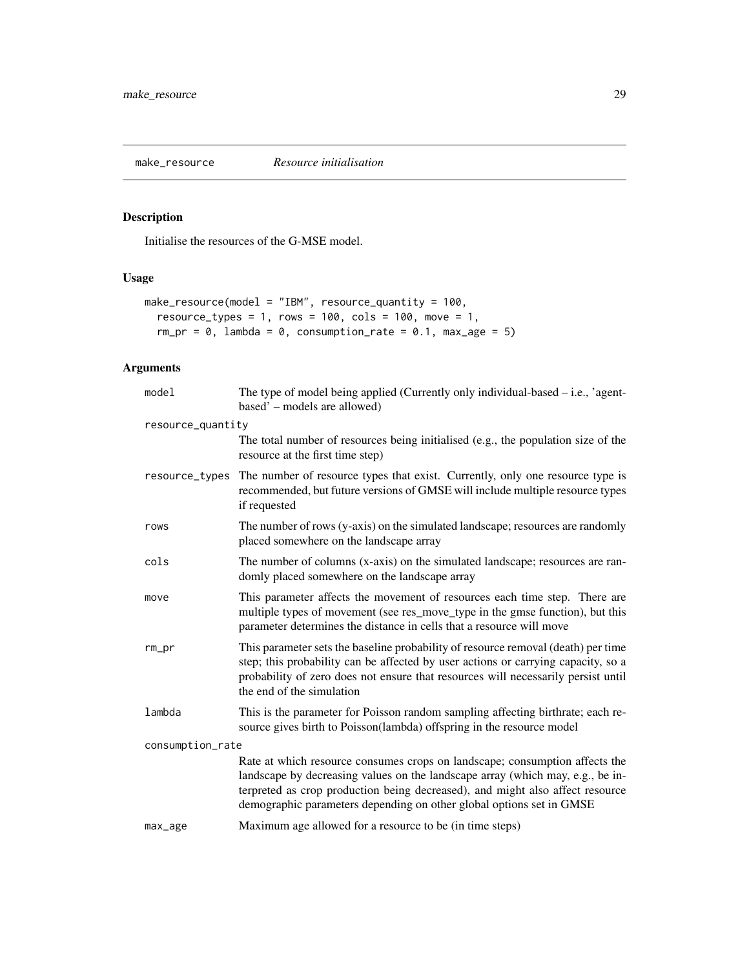<span id="page-28-0"></span>

Initialise the resources of the G-MSE model.

# Usage

```
make_resource(model = "IBM", resource_quantity = 100,
  resource_types = 1, rows = 100, cols = 100, move = 1,
  rm_pr = 0, lambda = 0, consumption_rate = 0.1, max_age = 5)
```
# Arguments

| model             | The type of model being applied (Currently only individual-based $-$ i.e., 'agent-<br>based' – models are allowed)                                                                                                                                                                                                     |
|-------------------|------------------------------------------------------------------------------------------------------------------------------------------------------------------------------------------------------------------------------------------------------------------------------------------------------------------------|
| resource_quantity |                                                                                                                                                                                                                                                                                                                        |
|                   | The total number of resources being initialised (e.g., the population size of the<br>resource at the first time step)                                                                                                                                                                                                  |
| resource_types    | The number of resource types that exist. Currently, only one resource type is<br>recommended, but future versions of GMSE will include multiple resource types<br>if requested                                                                                                                                         |
| rows              | The number of rows (y-axis) on the simulated landscape; resources are randomly<br>placed somewhere on the landscape array                                                                                                                                                                                              |
| cols              | The number of columns (x-axis) on the simulated landscape; resources are ran-<br>domly placed somewhere on the landscape array                                                                                                                                                                                         |
| move              | This parameter affects the movement of resources each time step. There are<br>multiple types of movement (see res_move_type in the gmse function), but this<br>parameter determines the distance in cells that a resource will move                                                                                    |
| $rm\_pr$          | This parameter sets the baseline probability of resource removal (death) per time<br>step; this probability can be affected by user actions or carrying capacity, so a<br>probability of zero does not ensure that resources will necessarily persist until<br>the end of the simulation                               |
| lambda            | This is the parameter for Poisson random sampling affecting birthrate; each re-<br>source gives birth to Poisson(lambda) offspring in the resource model                                                                                                                                                               |
| consumption_rate  |                                                                                                                                                                                                                                                                                                                        |
|                   | Rate at which resource consumes crops on landscape; consumption affects the<br>landscape by decreasing values on the landscape array (which may, e.g., be in-<br>terpreted as crop production being decreased), and might also affect resource<br>demographic parameters depending on other global options set in GMSE |
| max_age           | Maximum age allowed for a resource to be (in time steps)                                                                                                                                                                                                                                                               |
|                   |                                                                                                                                                                                                                                                                                                                        |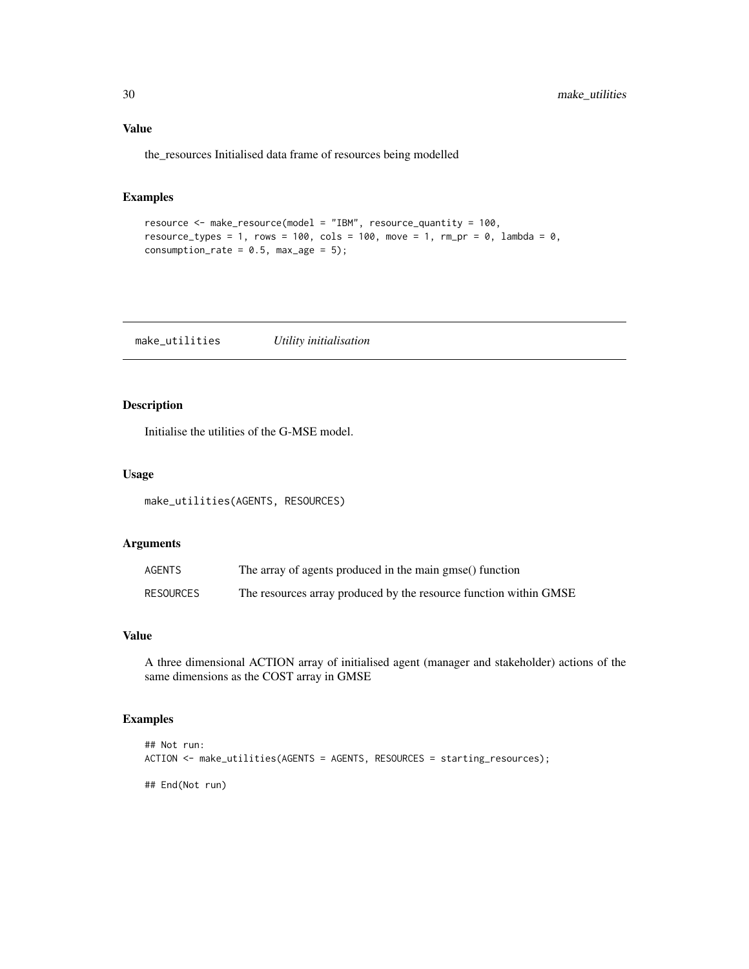# <span id="page-29-0"></span>Value

the\_resources Initialised data frame of resources being modelled

# Examples

```
resource <- make_resource(model = "IBM", resource_quantity = 100,
resource_types = 1, rows = 100, cols = 100, move = 1, rm_pr = 0, lambda = 0,
consumption_rate = 0.5, max_age = 5);
```
make\_utilities *Utility initialisation*

# Description

Initialise the utilities of the G-MSE model.

# Usage

make\_utilities(AGENTS, RESOURCES)

# Arguments

| AGENTS           | The array of agents produced in the main gmse() function          |
|------------------|-------------------------------------------------------------------|
| <b>RESOURCES</b> | The resources array produced by the resource function within GMSE |

#### Value

A three dimensional ACTION array of initialised agent (manager and stakeholder) actions of the same dimensions as the COST array in GMSE

# Examples

```
## Not run:
ACTION <- make_utilities(AGENTS = AGENTS, RESOURCES = starting_resources);
## End(Not run)
```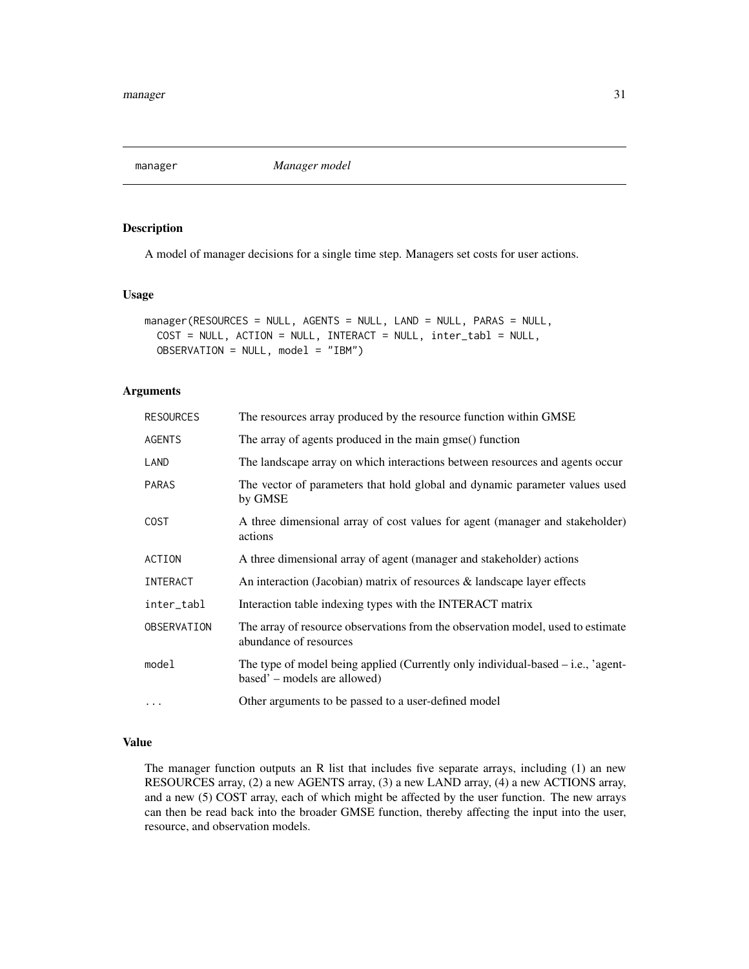<span id="page-30-0"></span>manager *Manager model*

# Description

A model of manager decisions for a single time step. Managers set costs for user actions.

#### Usage

```
manager(RESOURCES = NULL, AGENTS = NULL, LAND = NULL, PARAS = NULL,
  COST = NULL, ACTION = NULL, INTERACT = NULL, inter_tabl = NULL,
  OBSERVATION = NULL, model = "IBM")
```
#### Arguments

| <b>RESOURCES</b> | The resources array produced by the resource function within GMSE                                                  |
|------------------|--------------------------------------------------------------------------------------------------------------------|
| <b>AGENTS</b>    | The array of agents produced in the main gmse() function                                                           |
| LAND             | The landscape array on which interactions between resources and agents occur                                       |
| PARAS            | The vector of parameters that hold global and dynamic parameter values used<br>by GMSE                             |
| <b>COST</b>      | A three dimensional array of cost values for agent (manager and stakeholder)<br>actions                            |
| ACTION           | A three dimensional array of agent (manager and stakeholder) actions                                               |
| INTERACT         | An interaction (Jacobian) matrix of resources & landscape layer effects                                            |
| inter_tabl       | Interaction table indexing types with the INTERACT matrix                                                          |
| OBSERVATION      | The array of resource observations from the observation model, used to estimate<br>abundance of resources          |
| model            | The type of model being applied (Currently only individual-based $-$ i.e., 'agent-<br>based' – models are allowed) |
| $\cdots$         | Other arguments to be passed to a user-defined model                                                               |
|                  |                                                                                                                    |

# Value

The manager function outputs an R list that includes five separate arrays, including (1) an new RESOURCES array, (2) a new AGENTS array, (3) a new LAND array, (4) a new ACTIONS array, and a new (5) COST array, each of which might be affected by the user function. The new arrays can then be read back into the broader GMSE function, thereby affecting the input into the user, resource, and observation models.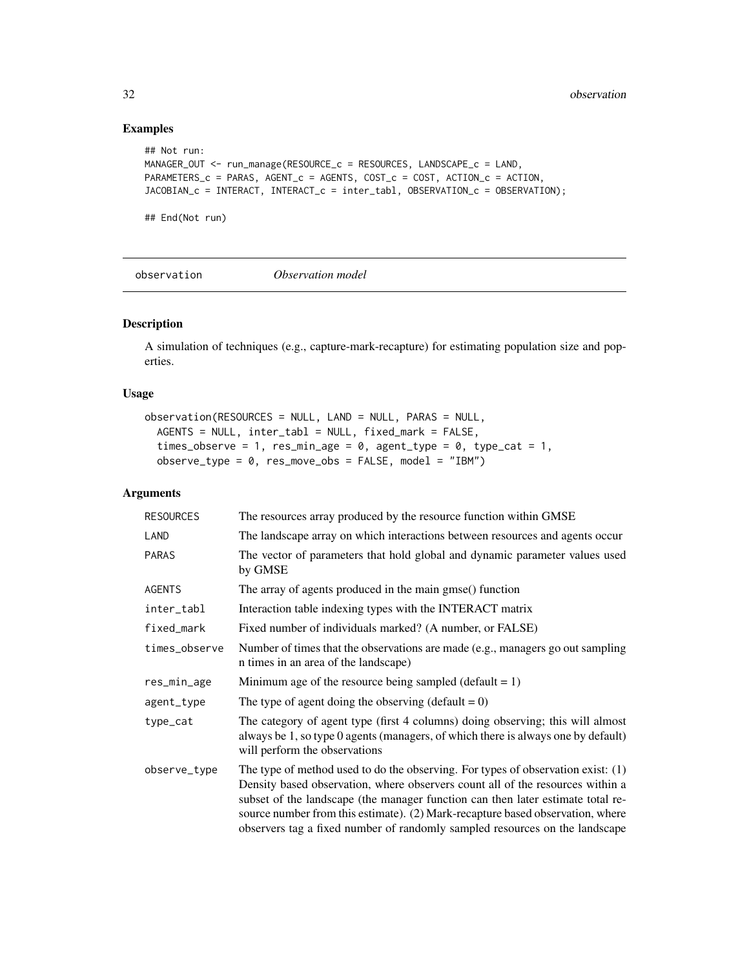# Examples

```
## Not run:
MANAGER_OUT <- run_manage(RESOURCE_c = RESOURCES, LANDSCAPE_c = LAND,
PARAMETERS_c = PARAS, AGENT_c = AGENTS, COST_c = COST, ACTION_c = ACTION,
JACOBIAN_c = INTERACT, INTERACT_c = inter_tabl, OBSERVATION_c = OBSERVATION);
```
## End(Not run)

observation *Observation model*

# Description

A simulation of techniques (e.g., capture-mark-recapture) for estimating population size and poperties.

#### Usage

```
observation(RESOURCES = NULL, LAND = NULL, PARAS = NULL,
  AGENTS = NULL, inter_tabl = NULL, fixed_mark = FALSE,
  times_observe = 1, res_min_age = 0, agent_type = 0, type_cat = 1,
 observe_type = 0, res_move\_obs = FALSE, model = "IBM")
```
#### Arguments

| <b>RESOURCES</b> | The resources array produced by the resource function within GMSE                                                                                                                                                                                                                                                                                                                                                        |
|------------------|--------------------------------------------------------------------------------------------------------------------------------------------------------------------------------------------------------------------------------------------------------------------------------------------------------------------------------------------------------------------------------------------------------------------------|
| LAND             | The landscape array on which interactions between resources and agents occur                                                                                                                                                                                                                                                                                                                                             |
| <b>PARAS</b>     | The vector of parameters that hold global and dynamic parameter values used<br>by GMSE                                                                                                                                                                                                                                                                                                                                   |
| <b>AGENTS</b>    | The array of agents produced in the main gmse() function                                                                                                                                                                                                                                                                                                                                                                 |
| inter_tabl       | Interaction table indexing types with the INTERACT matrix                                                                                                                                                                                                                                                                                                                                                                |
| fixed_mark       | Fixed number of individuals marked? (A number, or FALSE)                                                                                                                                                                                                                                                                                                                                                                 |
| times_observe    | Number of times that the observations are made (e.g., managers go out sampling<br>n times in an area of the landscape)                                                                                                                                                                                                                                                                                                   |
| res_min_age      | Minimum age of the resource being sampled (default $= 1$ )                                                                                                                                                                                                                                                                                                                                                               |
| agent_type       | The type of agent doing the observing (default = $0$ )                                                                                                                                                                                                                                                                                                                                                                   |
| type_cat         | The category of agent type (first 4 columns) doing observing; this will almost<br>always be 1, so type 0 agents (managers, of which there is always one by default)<br>will perform the observations                                                                                                                                                                                                                     |
| observe_type     | The type of method used to do the observing. For types of observation exist: $(1)$<br>Density based observation, where observers count all of the resources within a<br>subset of the landscape (the manager function can then later estimate total re-<br>source number from this estimate). (2) Mark-recapture based observation, where<br>observers tag a fixed number of randomly sampled resources on the landscape |

<span id="page-31-0"></span>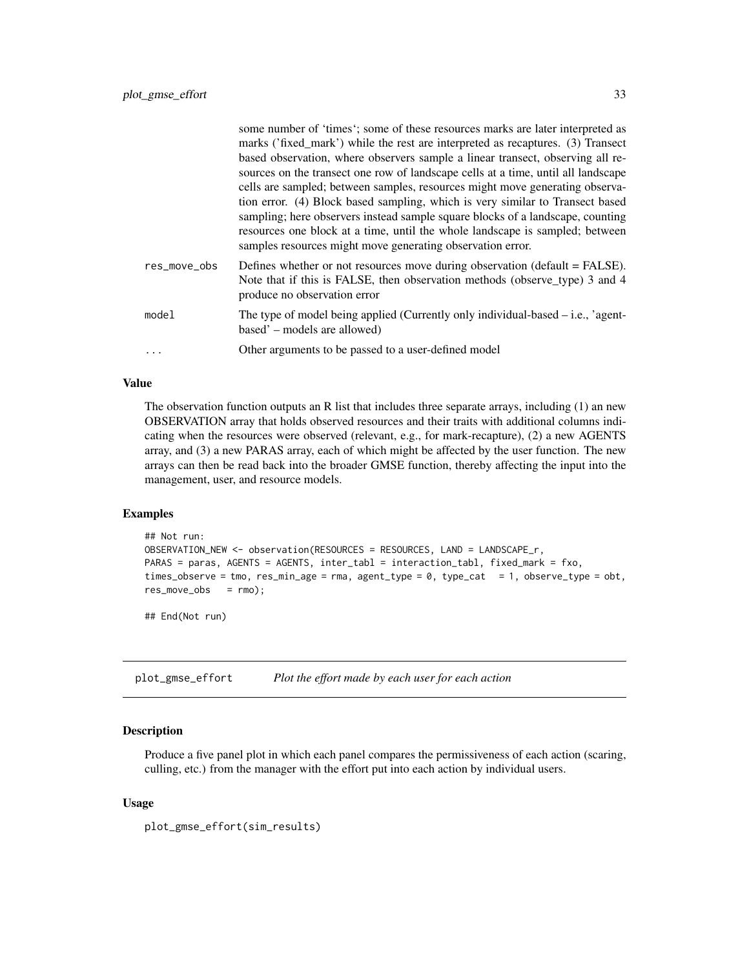<span id="page-32-0"></span>

|              | some number of 'times'; some of these resources marks are later interpreted as<br>marks ('fixed_mark') while the rest are interpreted as recaptures. (3) Transect<br>based observation, where observers sample a linear transect, observing all re-<br>sources on the transect one row of landscape cells at a time, until all landscape<br>cells are sampled; between samples, resources might move generating observa-<br>tion error. (4) Block based sampling, which is very similar to Transect based<br>sampling; here observers instead sample square blocks of a landscape, counting<br>resources one block at a time, until the whole landscape is sampled; between |
|--------------|-----------------------------------------------------------------------------------------------------------------------------------------------------------------------------------------------------------------------------------------------------------------------------------------------------------------------------------------------------------------------------------------------------------------------------------------------------------------------------------------------------------------------------------------------------------------------------------------------------------------------------------------------------------------------------|
| res_move_obs | samples resources might move generating observation error.<br>Defines whether or not resources move during observation (default = FALSE).<br>Note that if this is FALSE, then observation methods (observe_type) 3 and 4<br>produce no observation error                                                                                                                                                                                                                                                                                                                                                                                                                    |
| model        | The type of model being applied (Currently only individual-based $-$ i.e., 'agent-<br>based' - models are allowed)                                                                                                                                                                                                                                                                                                                                                                                                                                                                                                                                                          |
|              | Other arguments to be passed to a user-defined model                                                                                                                                                                                                                                                                                                                                                                                                                                                                                                                                                                                                                        |

# Value

The observation function outputs an R list that includes three separate arrays, including (1) an new OBSERVATION array that holds observed resources and their traits with additional columns indicating when the resources were observed (relevant, e.g., for mark-recapture), (2) a new AGENTS array, and (3) a new PARAS array, each of which might be affected by the user function. The new arrays can then be read back into the broader GMSE function, thereby affecting the input into the management, user, and resource models.

#### Examples

```
## Not run:
OBSERVATION_NEW <- observation(RESOURCES = RESOURCES, LAND = LANDSCAPE_r,
PARAS = paras, AGENTS = AGENTS, inter_tabl = interaction_tabl, fixed_mark = fxo,
times_observe = tmo, res_min_age = rma, agent_type = 0, type_cat = 1, observe_type = obt,
res_move_obs = rmo);
```
## End(Not run)

plot\_gmse\_effort *Plot the effort made by each user for each action*

# Description

Produce a five panel plot in which each panel compares the permissiveness of each action (scaring, culling, etc.) from the manager with the effort put into each action by individual users.

#### Usage

```
plot_gmse_effort(sim_results)
```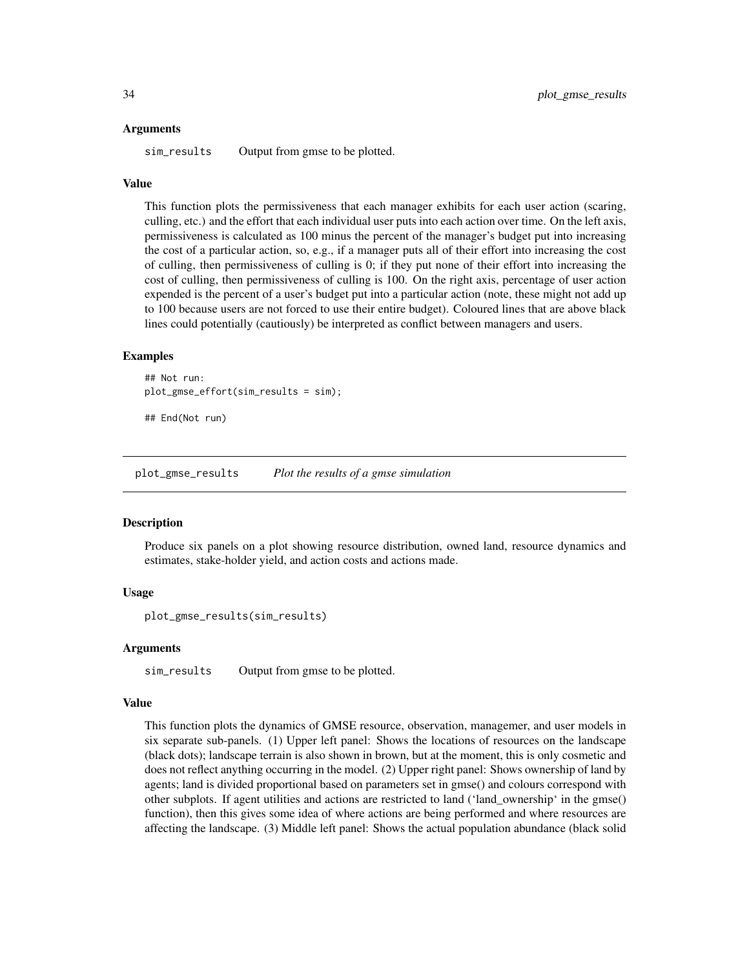#### <span id="page-33-0"></span>Arguments

sim\_results Output from gmse to be plotted.

#### Value

This function plots the permissiveness that each manager exhibits for each user action (scaring, culling, etc.) and the effort that each individual user puts into each action over time. On the left axis, permissiveness is calculated as 100 minus the percent of the manager's budget put into increasing the cost of a particular action, so, e.g., if a manager puts all of their effort into increasing the cost of culling, then permissiveness of culling is 0; if they put none of their effort into increasing the cost of culling, then permissiveness of culling is 100. On the right axis, percentage of user action expended is the percent of a user's budget put into a particular action (note, these might not add up to 100 because users are not forced to use their entire budget). Coloured lines that are above black lines could potentially (cautiously) be interpreted as conflict between managers and users.

#### Examples

```
## Not run:
plot_gmse_effort(sim_results = sim);
```
## End(Not run)

plot\_gmse\_results *Plot the results of a gmse simulation*

#### Description

Produce six panels on a plot showing resource distribution, owned land, resource dynamics and estimates, stake-holder yield, and action costs and actions made.

### Usage

plot\_gmse\_results(sim\_results)

#### Arguments

sim\_results Output from gmse to be plotted.

#### Value

This function plots the dynamics of GMSE resource, observation, managemer, and user models in six separate sub-panels. (1) Upper left panel: Shows the locations of resources on the landscape (black dots); landscape terrain is also shown in brown, but at the moment, this is only cosmetic and does not reflect anything occurring in the model. (2) Upper right panel: Shows ownership of land by agents; land is divided proportional based on parameters set in gmse() and colours correspond with other subplots. If agent utilities and actions are restricted to land ('land\_ownership' in the gmse() function), then this gives some idea of where actions are being performed and where resources are affecting the landscape. (3) Middle left panel: Shows the actual population abundance (black solid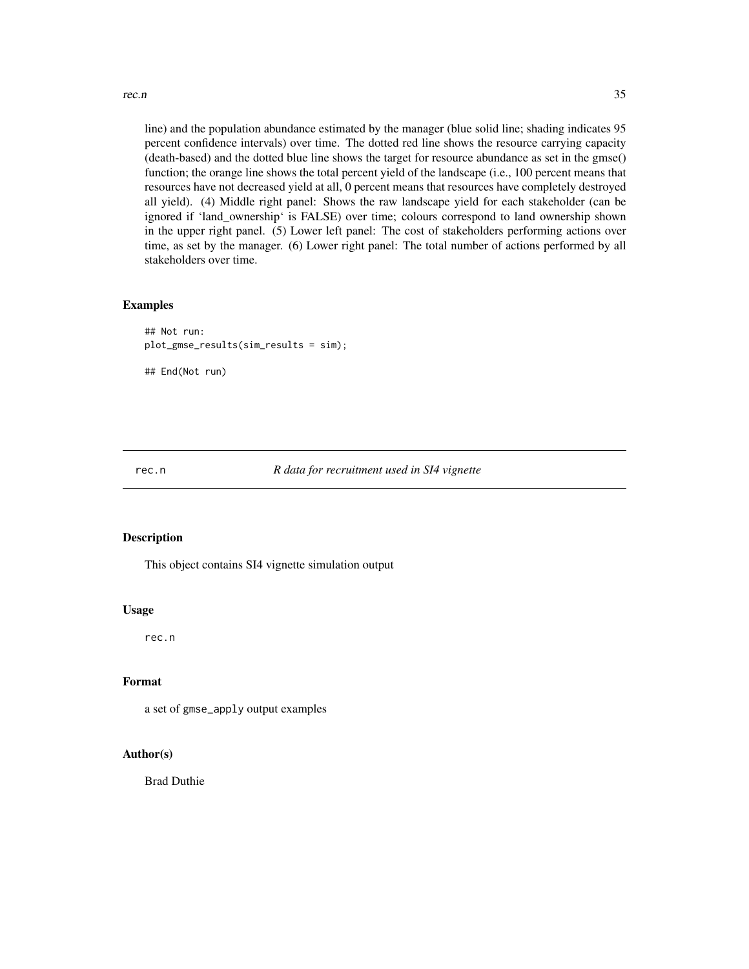<span id="page-34-0"></span>rec.n 35

line) and the population abundance estimated by the manager (blue solid line; shading indicates 95 percent confidence intervals) over time. The dotted red line shows the resource carrying capacity (death-based) and the dotted blue line shows the target for resource abundance as set in the gmse() function; the orange line shows the total percent yield of the landscape (i.e., 100 percent means that resources have not decreased yield at all, 0 percent means that resources have completely destroyed all yield). (4) Middle right panel: Shows the raw landscape yield for each stakeholder (can be ignored if 'land\_ownership' is FALSE) over time; colours correspond to land ownership shown in the upper right panel. (5) Lower left panel: The cost of stakeholders performing actions over time, as set by the manager. (6) Lower right panel: The total number of actions performed by all stakeholders over time.

# Examples

```
## Not run:
plot_gmse_results(sim_results = sim);
## End(Not run)
```
#### rec.n *R data for recruitment used in SI4 vignette*

# Description

This object contains SI4 vignette simulation output

#### Usage

rec.n

# Format

a set of gmse\_apply output examples

# Author(s)

Brad Duthie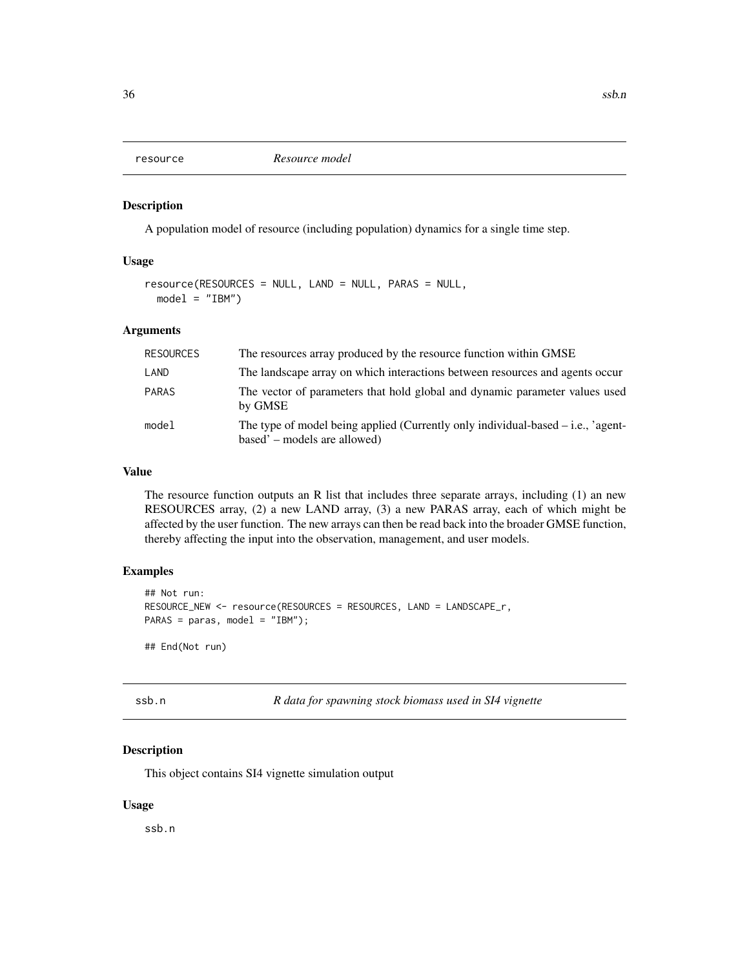<span id="page-35-0"></span>

A population model of resource (including population) dynamics for a single time step.

#### Usage

```
resource(RESOURCES = NULL, LAND = NULL, PARAS = NULL,
 model = "IBM")
```
# Arguments

| RESOURCES    | The resources array produced by the resource function within GMSE                                                  |
|--------------|--------------------------------------------------------------------------------------------------------------------|
| LAND         | The landscape array on which interactions between resources and agents occur                                       |
| <b>PARAS</b> | The vector of parameters that hold global and dynamic parameter values used<br>by GMSE                             |
| model        | The type of model being applied (Currently only individual-based $-$ i.e., 'agent-<br>based' – models are allowed) |

# Value

The resource function outputs an R list that includes three separate arrays, including (1) an new RESOURCES array, (2) a new LAND array, (3) a new PARAS array, each of which might be affected by the user function. The new arrays can then be read back into the broader GMSE function, thereby affecting the input into the observation, management, and user models.

# Examples

```
## Not run:
RESOURCE_NEW <- resource(RESOURCES = RESOURCES, LAND = LANDSCAPE_r,
PARAS = paras, model = "IBM");
```
## End(Not run)

ssb.n *R data for spawning stock biomass used in SI4 vignette*

# Description

This object contains SI4 vignette simulation output

#### Usage

ssb.n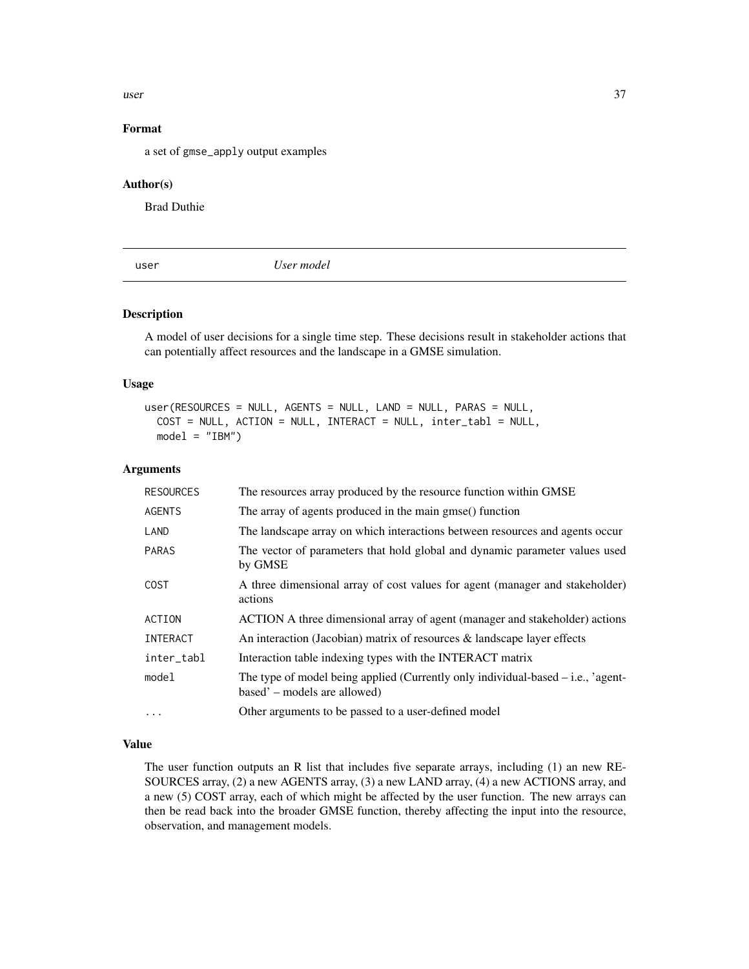<span id="page-36-0"></span> $\frac{1}{37}$ 

# Format

a set of gmse\_apply output examples

#### Author(s)

Brad Duthie

user *User model*

# Description

A model of user decisions for a single time step. These decisions result in stakeholder actions that can potentially affect resources and the landscape in a GMSE simulation.

#### Usage

```
user(RESOURCES = NULL, AGENTS = NULL, LAND = NULL, PARAS = NULL,
  COST = NULL, ACTION = NULL, INTERACT = NULL, inter_tabl = NULL,
 model = "IBM")
```
#### Arguments

| <b>RESOURCES</b> | The resources array produced by the resource function within GMSE                                                  |
|------------------|--------------------------------------------------------------------------------------------------------------------|
| <b>AGENTS</b>    | The array of agents produced in the main gmse() function                                                           |
| LAND             | The landscape array on which interactions between resources and agents occur                                       |
| <b>PARAS</b>     | The vector of parameters that hold global and dynamic parameter values used<br>by GMSE                             |
| <b>COST</b>      | A three dimensional array of cost values for agent (manager and stakeholder)<br>actions                            |
| ACTION           | ACTION A three dimensional array of agent (manager and stakeholder) actions                                        |
| <b>INTERACT</b>  | An interaction (Jacobian) matrix of resources $\&$ landscape layer effects                                         |
| inter_tabl       | Interaction table indexing types with the INTERACT matrix                                                          |
| model            | The type of model being applied (Currently only individual-based $-$ i.e., 'agent-<br>based' – models are allowed) |
| $\ddotsc$        | Other arguments to be passed to a user-defined model                                                               |

# Value

The user function outputs an R list that includes five separate arrays, including (1) an new RE-SOURCES array, (2) a new AGENTS array, (3) a new LAND array, (4) a new ACTIONS array, and a new (5) COST array, each of which might be affected by the user function. The new arrays can then be read back into the broader GMSE function, thereby affecting the input into the resource, observation, and management models.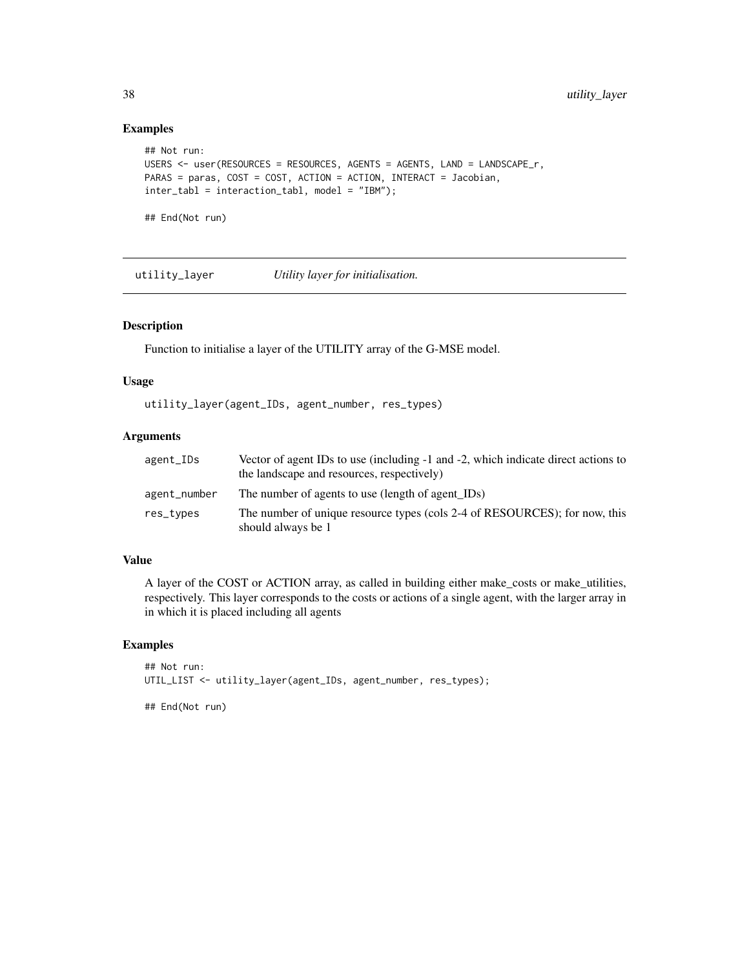# Examples

```
## Not run:
USERS <- user(RESOURCES = RESOURCES, AGENTS = AGENTS, LAND = LANDSCAPE_r,
PARAS = paras, COST = COST, ACTION = ACTION, INTERACT = Jacobian,
inter_tabl = interaction_tabl, model = "IBM");
```
## End(Not run)

utility\_layer *Utility layer for initialisation.*

#### Description

Function to initialise a layer of the UTILITY array of the G-MSE model.

#### Usage

utility\_layer(agent\_IDs, agent\_number, res\_types)

# Arguments

| agent_IDs    | Vector of agent IDs to use (including -1 and -2, which indicate direct actions to<br>the landscape and resources, respectively) |
|--------------|---------------------------------------------------------------------------------------------------------------------------------|
| agent_number | The number of agents to use (length of agent IDs)                                                                               |
| res_types    | The number of unique resource types (cols 2-4 of RESOURCES); for now, this<br>should always be 1                                |

# Value

A layer of the COST or ACTION array, as called in building either make\_costs or make\_utilities, respectively. This layer corresponds to the costs or actions of a single agent, with the larger array in in which it is placed including all agents

# Examples

```
## Not run:
UTIL_LIST <- utility_layer(agent_IDs, agent_number, res_types);
```
## End(Not run)

<span id="page-37-0"></span>